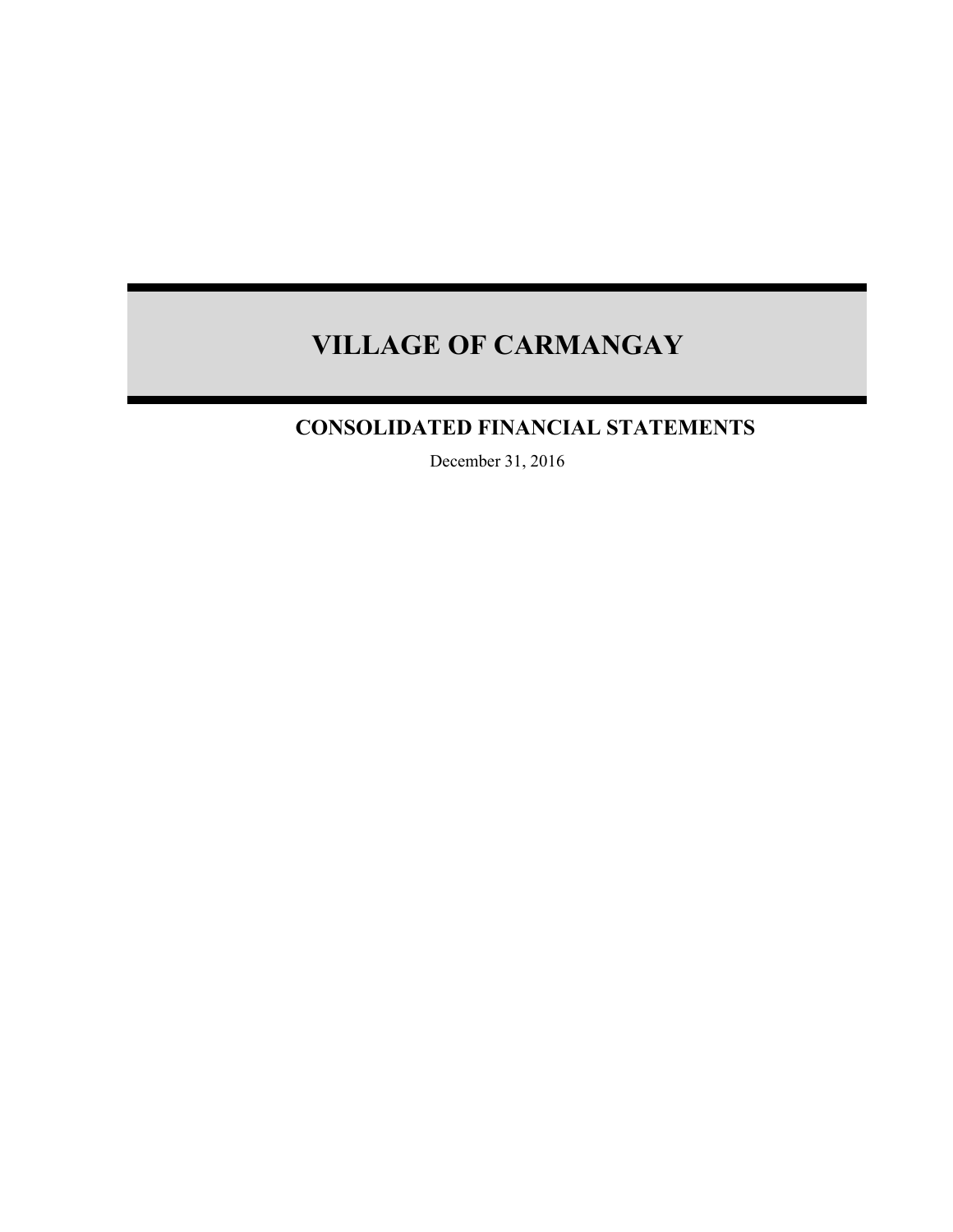## **CONSOLIDATED FINANCIAL STATEMENTS**

December 31, 2016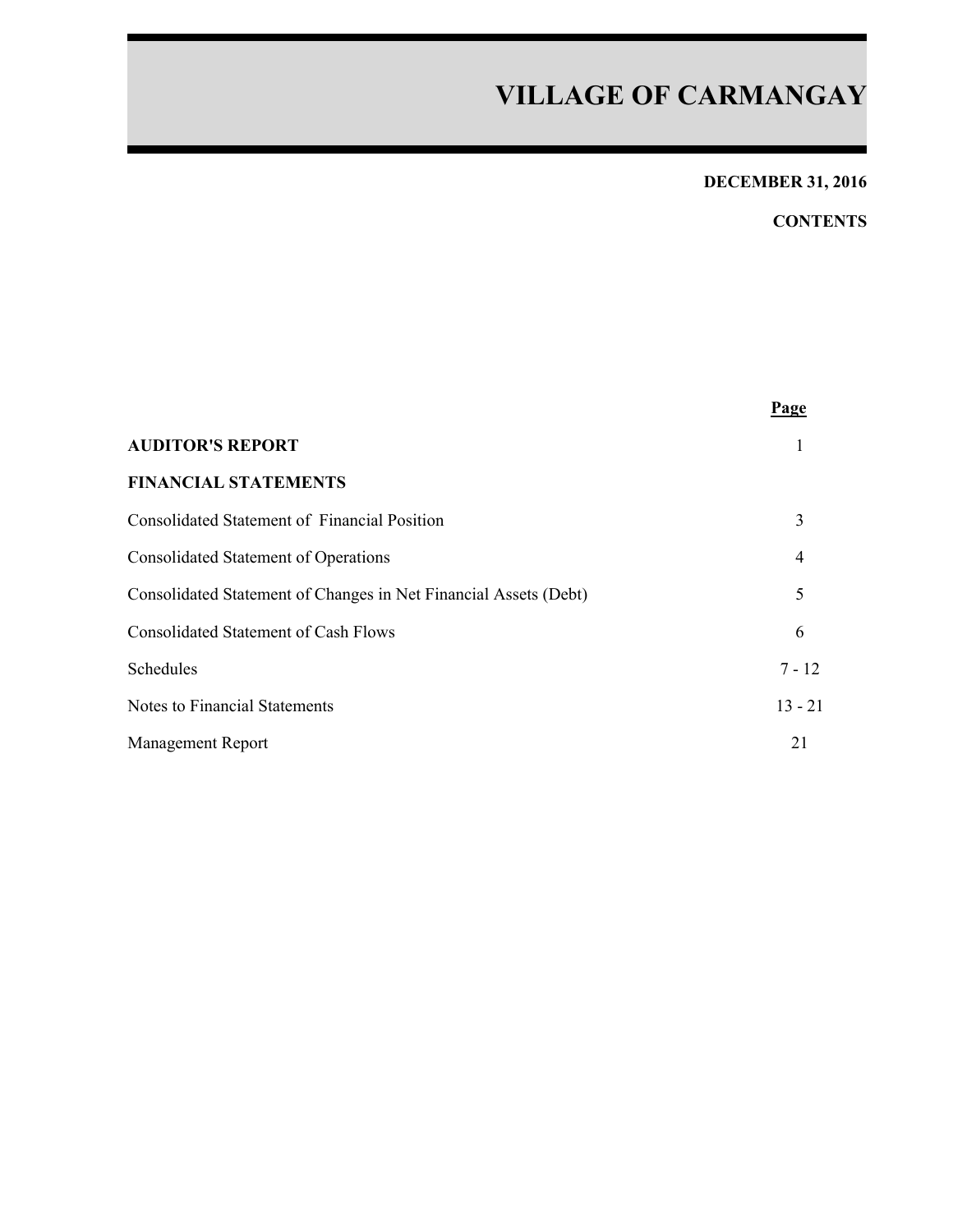## **DECEMBER 31, 2016**

## **CONTENTS**

|                                                                  | Page           |
|------------------------------------------------------------------|----------------|
| <b>AUDITOR'S REPORT</b>                                          |                |
| <b>FINANCIAL STATEMENTS</b>                                      |                |
| Consolidated Statement of Financial Position                     | 3              |
| <b>Consolidated Statement of Operations</b>                      | $\overline{4}$ |
| Consolidated Statement of Changes in Net Financial Assets (Debt) | 5              |
| <b>Consolidated Statement of Cash Flows</b>                      | 6              |
| Schedules                                                        | $7 - 12$       |
| Notes to Financial Statements                                    | $13 - 21$      |
| <b>Management Report</b>                                         | 21             |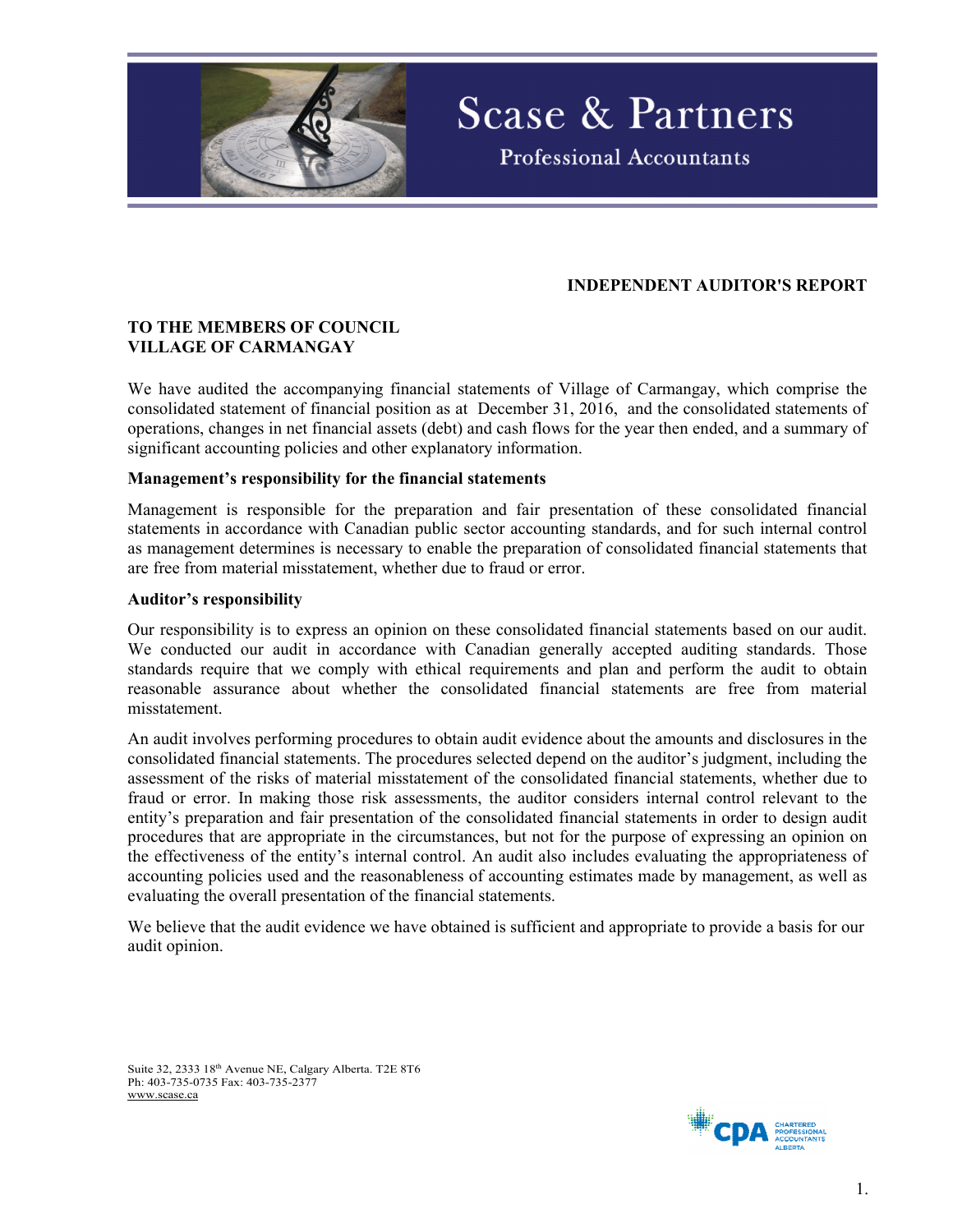

### **INDEPENDENT AUDITOR'S REPORT**

**Scase & Partners** 

**Professional Accountants** 

#### **TO THE MEMBERS OF COUNCIL VILLAGE OF CARMANGAY**

We have audited the accompanying financial statements of Village of Carmangay, which comprise the consolidated statement of financial position as at December 31, 2016, and the consolidated statements of operations, changes in net financial assets (debt) and cash flows for the year then ended, and a summary of significant accounting policies and other explanatory information.

#### **Management's responsibility for the financial statements**

Management is responsible for the preparation and fair presentation of these consolidated financial statements in accordance with Canadian public sector accounting standards, and for such internal control as management determines is necessary to enable the preparation of consolidated financial statements that are free from material misstatement, whether due to fraud or error.

#### **Auditor's responsibility**

Our responsibility is to express an opinion on these consolidated financial statements based on our audit. We conducted our audit in accordance with Canadian generally accepted auditing standards. Those standards require that we comply with ethical requirements and plan and perform the audit to obtain reasonable assurance about whether the consolidated financial statements are free from material misstatement.

An audit involves performing procedures to obtain audit evidence about the amounts and disclosures in the consolidated financial statements. The procedures selected depend on the auditor's judgment, including the assessment of the risks of material misstatement of the consolidated financial statements, whether due to fraud or error. In making those risk assessments, the auditor considers internal control relevant to the entity's preparation and fair presentation of the consolidated financial statements in order to design audit procedures that are appropriate in the circumstances, but not for the purpose of expressing an opinion on the effectiveness of the entity's internal control. An audit also includes evaluating the appropriateness of accounting policies used and the reasonableness of accounting estimates made by management, as well as evaluating the overall presentation of the financial statements.

We believe that the audit evidence we have obtained is sufficient and appropriate to provide a basis for our audit opinion.

Suite 32, 2333 18th Avenue NE, Calgary Alberta. T2E 8T6 Ph: 403-735-0735 Fax: 403-735-2377 www.scase.ca

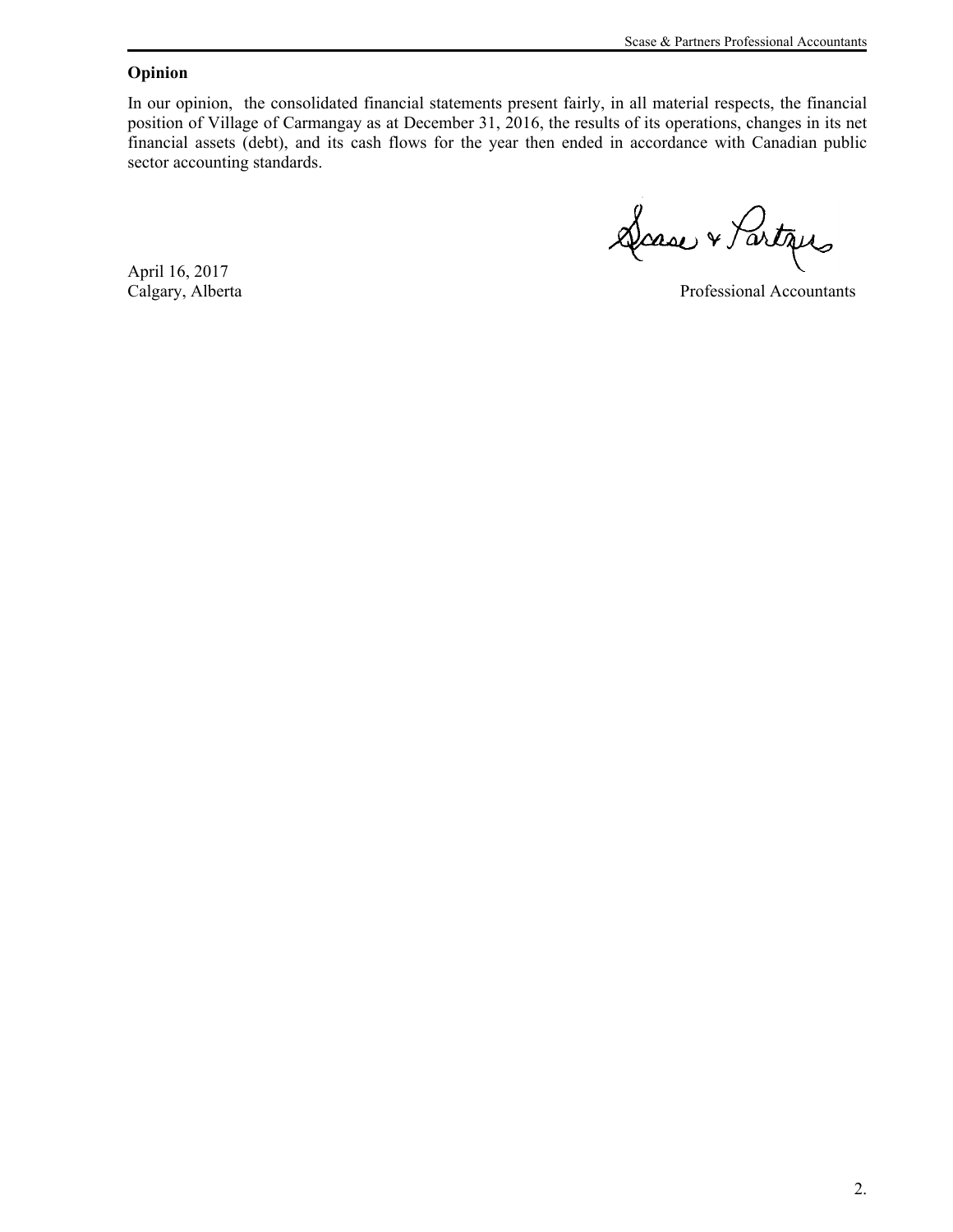#### **Opinion**

In our opinion, the consolidated financial statements present fairly, in all material respects, the financial position of Village of Carmangay as at December 31, 2016, the results of its operations, changes in its net financial assets (debt), and its cash flows for the year then ended in accordance with Canadian public sector accounting standards.

Dasse & Partiques

April 16, 2017

Calgary, Alberta Professional Accountants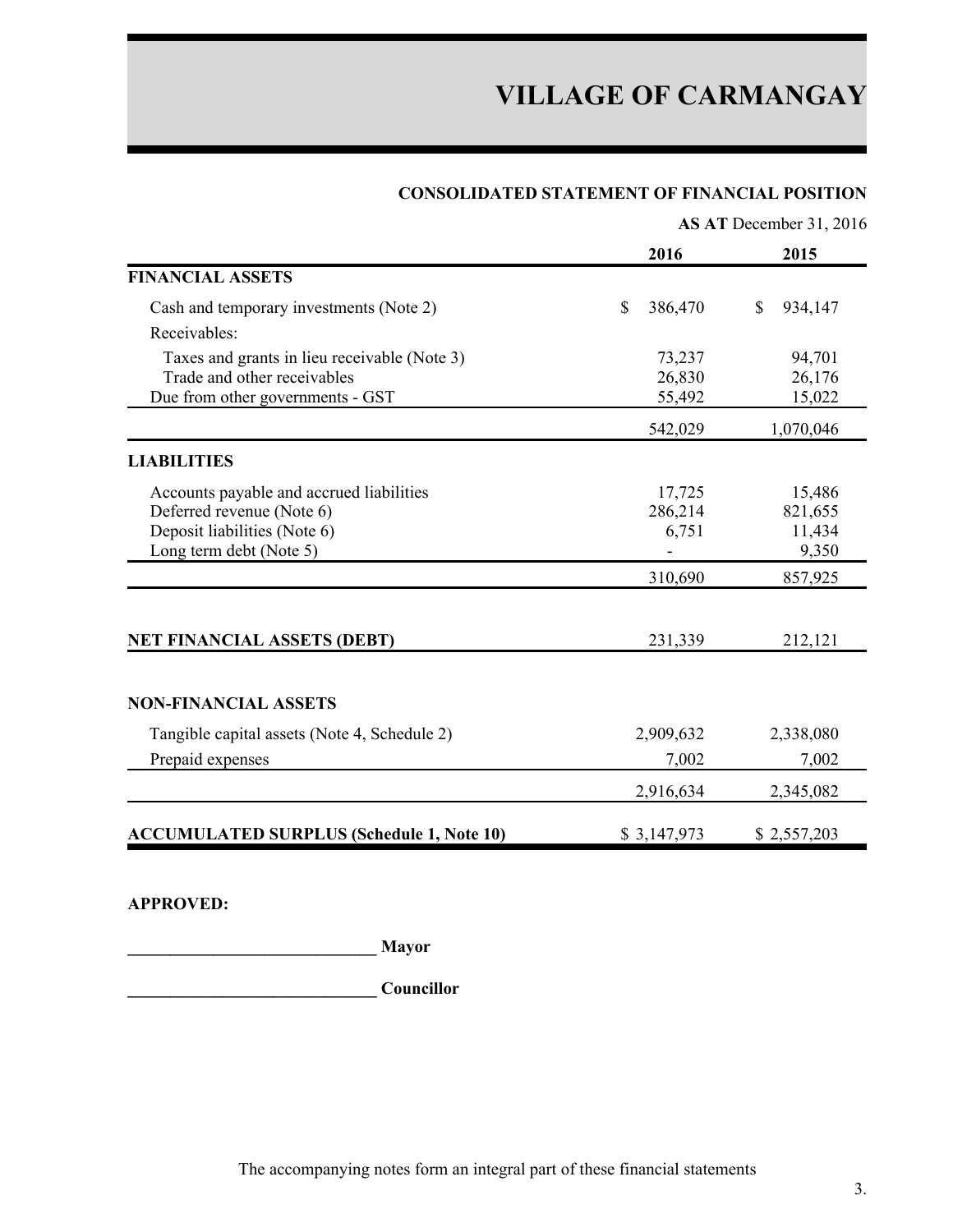#### **CONSOLIDATED STATEMENT OF FINANCIAL POSITION**

|                                                  | AS AT December 31, 2016 |                                      |  |  |  |  |
|--------------------------------------------------|-------------------------|--------------------------------------|--|--|--|--|
|                                                  | 2016                    | 2015                                 |  |  |  |  |
| <b>FINANCIAL ASSETS</b>                          |                         |                                      |  |  |  |  |
| Cash and temporary investments (Note 2)          | $\mathbb{S}$<br>386,470 | $\boldsymbol{\mathsf{S}}$<br>934,147 |  |  |  |  |
| Receivables:                                     |                         |                                      |  |  |  |  |
| Taxes and grants in lieu receivable (Note 3)     | 73,237                  | 94,701                               |  |  |  |  |
| Trade and other receivables                      | 26,830                  | 26,176                               |  |  |  |  |
| Due from other governments - GST                 | 55,492                  | 15,022                               |  |  |  |  |
|                                                  | 542,029                 | 1,070,046                            |  |  |  |  |
| <b>LIABILITIES</b>                               |                         |                                      |  |  |  |  |
| Accounts payable and accrued liabilities         | 17,725                  | 15,486                               |  |  |  |  |
| Deferred revenue (Note 6)                        | 286,214                 | 821,655                              |  |  |  |  |
| Deposit liabilities (Note 6)                     | 6,751                   | 11,434                               |  |  |  |  |
| Long term debt (Note 5)                          |                         | 9,350                                |  |  |  |  |
|                                                  | 310,690                 | 857,925                              |  |  |  |  |
|                                                  |                         |                                      |  |  |  |  |
| <b>NET FINANCIAL ASSETS (DEBT)</b>               | 231,339                 | 212,121                              |  |  |  |  |
| <b>NON-FINANCIAL ASSETS</b>                      |                         |                                      |  |  |  |  |
|                                                  |                         |                                      |  |  |  |  |
| Tangible capital assets (Note 4, Schedule 2)     | 2,909,632               | 2,338,080                            |  |  |  |  |
| Prepaid expenses                                 | 7,002                   | 7,002                                |  |  |  |  |
|                                                  | 2,916,634               | 2,345,082                            |  |  |  |  |
| <b>ACCUMULATED SURPLUS (Schedule 1, Note 10)</b> | \$3,147,973             | \$2,557,203                          |  |  |  |  |

**APPROVED:**

**\_\_\_\_\_\_\_\_\_\_\_\_\_\_\_\_\_\_\_\_\_\_\_\_\_\_\_\_\_ Mayor**

**\_\_\_\_\_\_\_\_\_\_\_\_\_\_\_\_\_\_\_\_\_\_\_\_\_\_\_\_\_ Councillor**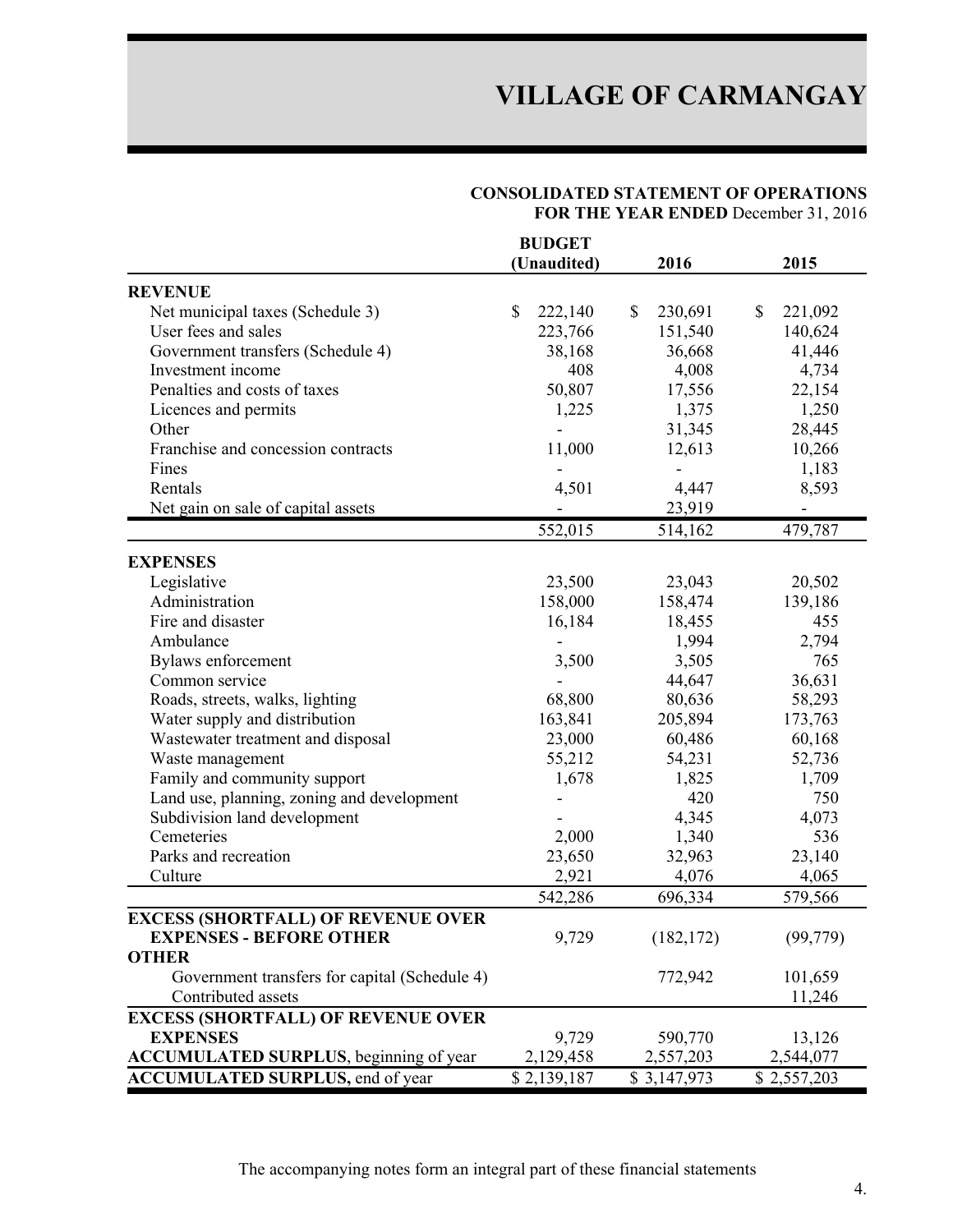#### **CONSOLIDATED STATEMENT OF OPERATIONS FOR THE YEAR ENDED** December 31, 2016

|                                                | <b>BUDGET</b>           |                 |                          |
|------------------------------------------------|-------------------------|-----------------|--------------------------|
|                                                | (Unaudited)             | 2016            | 2015                     |
| <b>REVENUE</b>                                 |                         |                 |                          |
| Net municipal taxes (Schedule 3)               | $\mathbb{S}$<br>222,140 | \$<br>230,691   | \$<br>221,092            |
| User fees and sales                            | 223,766                 | 151,540         | 140,624                  |
| Government transfers (Schedule 4)              | 38,168                  | 36,668          | 41,446                   |
| Investment income                              | 408                     | 4,008           | 4,734                    |
| Penalties and costs of taxes                   | 50,807                  | 17,556          | 22,154                   |
| Licences and permits                           | 1,225                   | 1,375           | 1,250                    |
| Other                                          |                         | 31,345          | 28,445                   |
| Franchise and concession contracts             | 11,000                  | 12,613          | 10,266                   |
| Fines                                          |                         |                 | 1,183                    |
| Rentals                                        | 4,501                   | 4,447           | 8,593                    |
| Net gain on sale of capital assets             |                         | 23,919          | $\overline{\phantom{a}}$ |
|                                                | 552,015                 | 514,162         | 479,787                  |
| <b>EXPENSES</b>                                |                         |                 |                          |
| Legislative                                    | 23,500                  | 23,043          | 20,502                   |
| Administration                                 | 158,000                 | 158,474         | 139,186                  |
| Fire and disaster                              |                         |                 | 455                      |
| Ambulance                                      | 16,184                  | 18,455<br>1,994 | 2,794                    |
|                                                | 3,500                   | 3,505           | 765                      |
| Bylaws enforcement<br>Common service           |                         | 44,647          |                          |
|                                                |                         |                 | 36,631                   |
| Roads, streets, walks, lighting                | 68,800                  | 80,636          | 58,293                   |
| Water supply and distribution                  | 163,841                 | 205,894         | 173,763                  |
| Wastewater treatment and disposal              | 23,000                  | 60,486          | 60,168                   |
| Waste management                               | 55,212                  | 54,231          | 52,736                   |
| Family and community support                   | 1,678                   | 1,825           | 1,709                    |
| Land use, planning, zoning and development     |                         | 420             | 750                      |
| Subdivision land development                   |                         | 4,345           | 4,073                    |
| Cemeteries                                     | 2,000                   | 1,340           | 536                      |
| Parks and recreation                           | 23,650                  | 32,963          | 23,140                   |
| Culture                                        | 2,921                   | 4,076           | 4,065                    |
| <b>EXCESS (SHORTFALL) OF REVENUE OVER</b>      | 542,286                 | 696,334         | 579,566                  |
| <b>EXPENSES - BEFORE OTHER</b>                 | 9,729                   | (182, 172)      | (99, 779)                |
| <b>OTHER</b>                                   |                         |                 |                          |
| Government transfers for capital (Schedule 4)  |                         | 772,942         | 101,659                  |
| Contributed assets                             |                         |                 | 11,246                   |
| <b>EXCESS (SHORTFALL) OF REVENUE OVER</b>      |                         |                 |                          |
| <b>EXPENSES</b>                                | 9,729                   | 590,770         | 13,126                   |
| <b>ACCUMULATED SURPLUS</b> , beginning of year | 2,129,458               | 2,557,203       | 2,544,077                |
| <b>ACCUMULATED SURPLUS, end of year</b>        | \$2,139,187             | \$3,147,973     | \$2,557,203              |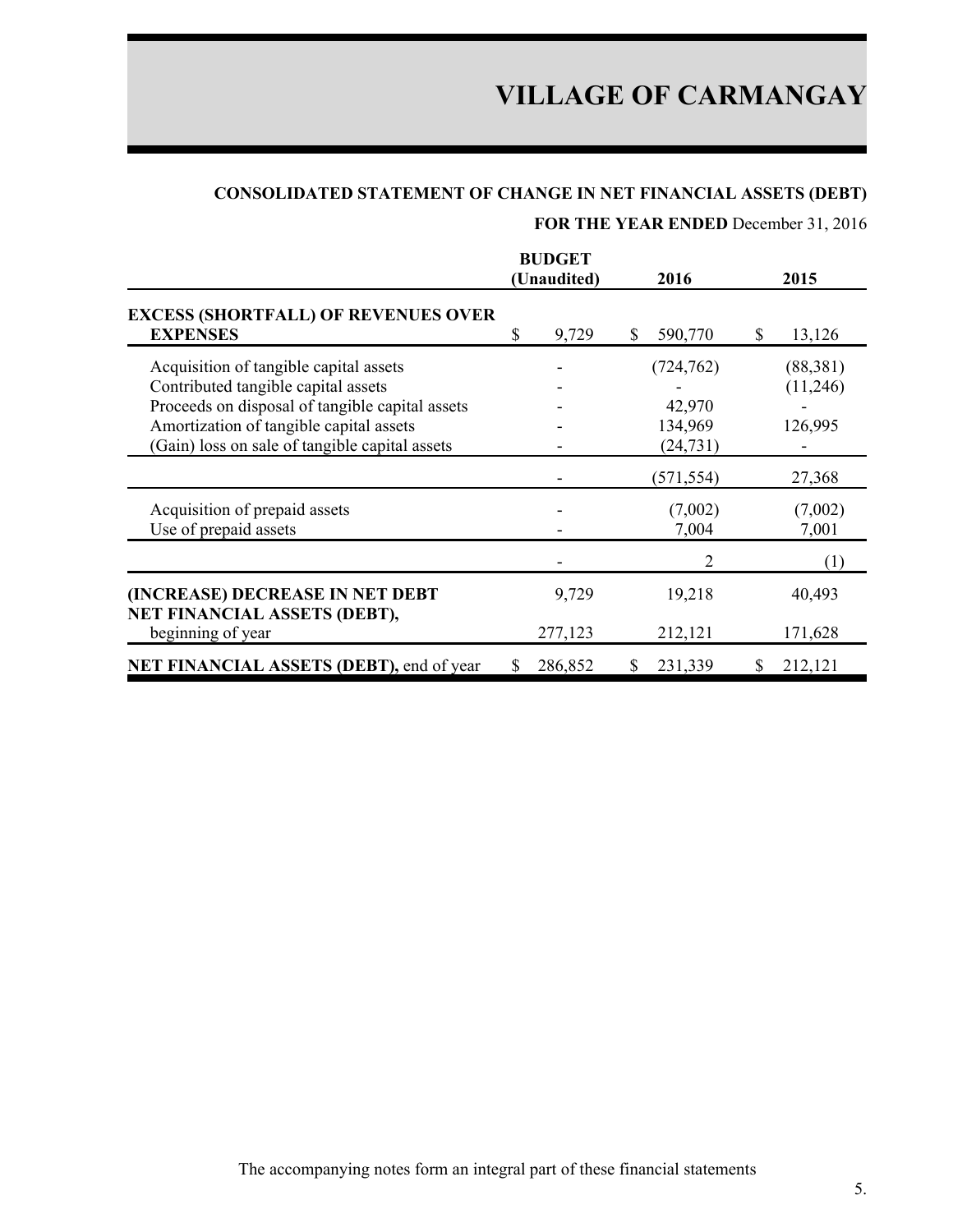## **CONSOLIDATED STATEMENT OF CHANGE IN NET FINANCIAL ASSETS (DEBT)**

## **FOR THE YEAR ENDED** December 31, 2016

|                                                                                                                                                                                                                               |   | <b>BUDGET</b><br>(Unaudited) |    | 2016                                         | 2015                            |
|-------------------------------------------------------------------------------------------------------------------------------------------------------------------------------------------------------------------------------|---|------------------------------|----|----------------------------------------------|---------------------------------|
| <b>EXCESS (SHORTFALL) OF REVENUES OVER</b><br><b>EXPENSES</b>                                                                                                                                                                 | S | 9,729                        | S. | 590,770                                      | \$<br>13,126                    |
| Acquisition of tangible capital assets<br>Contributed tangible capital assets<br>Proceeds on disposal of tangible capital assets<br>Amortization of tangible capital assets<br>(Gain) loss on sale of tangible capital assets |   |                              |    | (724, 762)<br>42,970<br>134,969<br>(24, 731) | (88,381)<br>(11,246)<br>126,995 |
|                                                                                                                                                                                                                               |   |                              |    | (571, 554)                                   | 27,368                          |
| Acquisition of prepaid assets<br>Use of prepaid assets                                                                                                                                                                        |   |                              |    | (7,002)<br>7,004                             | (7,002)<br>7,001                |
|                                                                                                                                                                                                                               |   |                              |    |                                              | (1)                             |
| (INCREASE) DECREASE IN NET DEBT<br>NET FINANCIAL ASSETS (DEBT),                                                                                                                                                               |   | 9,729                        |    | 19,218                                       | 40,493                          |
| beginning of year                                                                                                                                                                                                             |   | 277,123                      |    | 212,121                                      | 171,628                         |
| NET FINANCIAL ASSETS (DEBT), end of year                                                                                                                                                                                      |   | 286,852                      | S  | 231,339                                      | 212,121                         |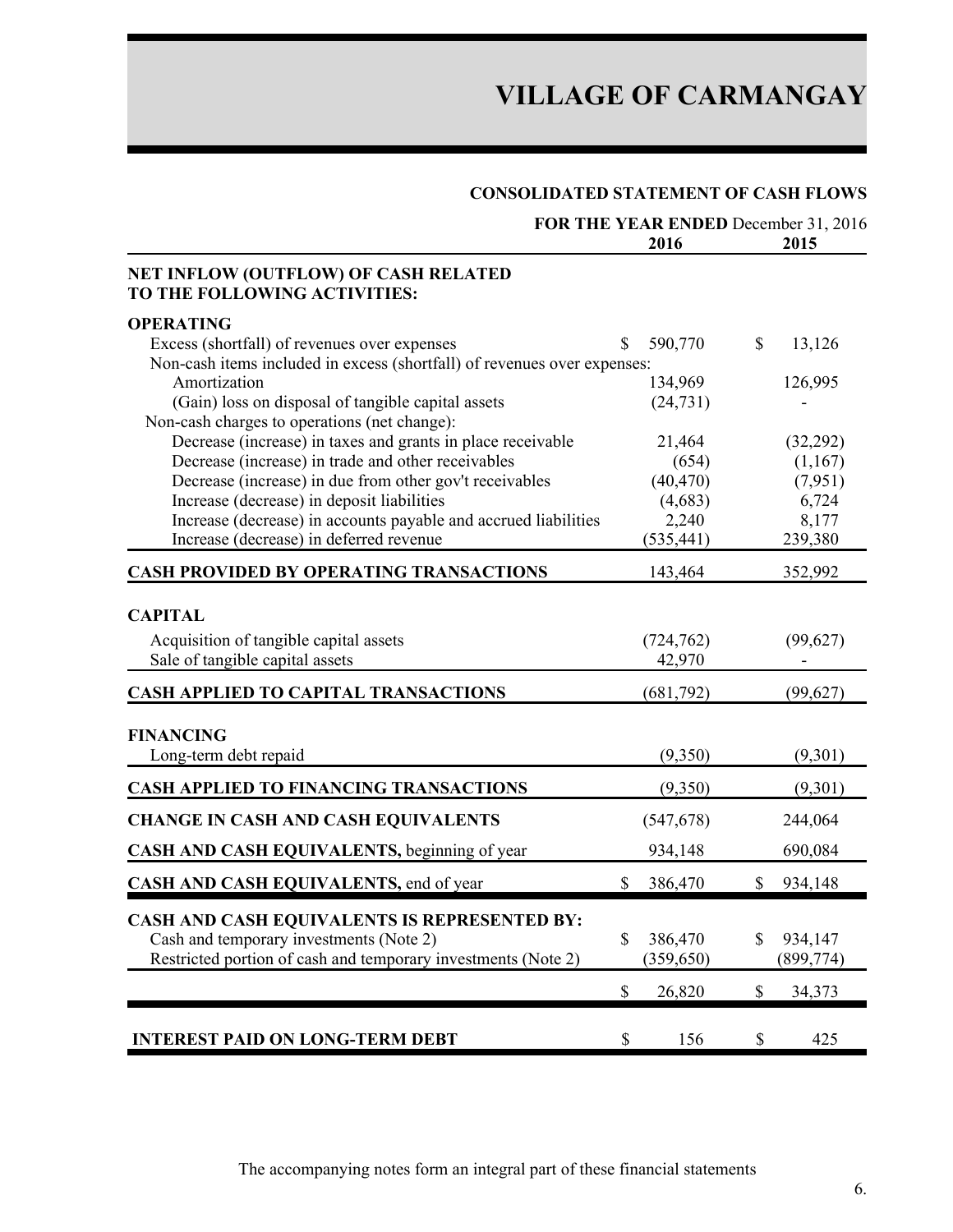### **CONSOLIDATED STATEMENT OF CASH FLOWS**

|                                                                                                    | FOR THE YEAR ENDED December 31, 2016<br>2016 | 2015                                |
|----------------------------------------------------------------------------------------------------|----------------------------------------------|-------------------------------------|
| NET INFLOW (OUTFLOW) OF CASH RELATED<br>TO THE FOLLOWING ACTIVITIES:                               |                                              |                                     |
| <b>OPERATING</b>                                                                                   |                                              |                                     |
| Excess (shortfall) of revenues over expenses                                                       | 590,770<br>\$.                               | $\mathbb{S}$<br>13,126              |
| Non-cash items included in excess (shortfall) of revenues over expenses:                           |                                              |                                     |
| Amortization                                                                                       | 134,969                                      | 126,995                             |
| (Gain) loss on disposal of tangible capital assets<br>Non-cash charges to operations (net change): | (24, 731)                                    |                                     |
| Decrease (increase) in taxes and grants in place receivable                                        | 21,464                                       | (32,292)                            |
| Decrease (increase) in trade and other receivables                                                 | (654)                                        | (1,167)                             |
| Decrease (increase) in due from other gov't receivables                                            | (40, 470)                                    | (7,951)                             |
| Increase (decrease) in deposit liabilities                                                         | (4,683)                                      | 6,724                               |
| Increase (decrease) in accounts payable and accrued liabilities                                    | 2,240                                        | 8,177                               |
| Increase (decrease) in deferred revenue                                                            | (535, 441)                                   | 239,380                             |
| <b>CASH PROVIDED BY OPERATING TRANSACTIONS</b>                                                     | 143,464                                      | 352,992                             |
| <b>CAPITAL</b>                                                                                     |                                              |                                     |
| Acquisition of tangible capital assets                                                             | (724, 762)                                   | (99, 627)                           |
| Sale of tangible capital assets                                                                    | 42,970                                       |                                     |
| <b>CASH APPLIED TO CAPITAL TRANSACTIONS</b>                                                        | (681,792)                                    | (99, 627)                           |
| <b>FINANCING</b>                                                                                   |                                              |                                     |
| Long-term debt repaid                                                                              | (9,350)                                      | (9,301)                             |
|                                                                                                    |                                              |                                     |
| <b>CASH APPLIED TO FINANCING TRANSACTIONS</b>                                                      | (9,350)                                      | (9,301)                             |
| <b>CHANGE IN CASH AND CASH EQUIVALENTS</b>                                                         | (547, 678)                                   | 244,064                             |
| CASH AND CASH EQUIVALENTS, beginning of year                                                       | 934,148                                      | 690,084                             |
| CASH AND CASH EQUIVALENTS, end of year                                                             | \$<br>386,470                                | \$<br>934,148                       |
| <b>CASH AND CASH EQUIVALENTS IS REPRESENTED BY:</b>                                                |                                              |                                     |
| Cash and temporary investments (Note 2)                                                            | \$<br>386,470                                | \$<br>934,147                       |
| Restricted portion of cash and temporary investments (Note 2)                                      | (359, 650)                                   | (899, 774)                          |
|                                                                                                    | $\mathbb S$<br>26,820                        | $\boldsymbol{\mathsf{S}}$<br>34,373 |
|                                                                                                    |                                              |                                     |
| <b>INTEREST PAID ON LONG-TERM DEBT</b>                                                             | \$<br>156                                    | \$<br>425                           |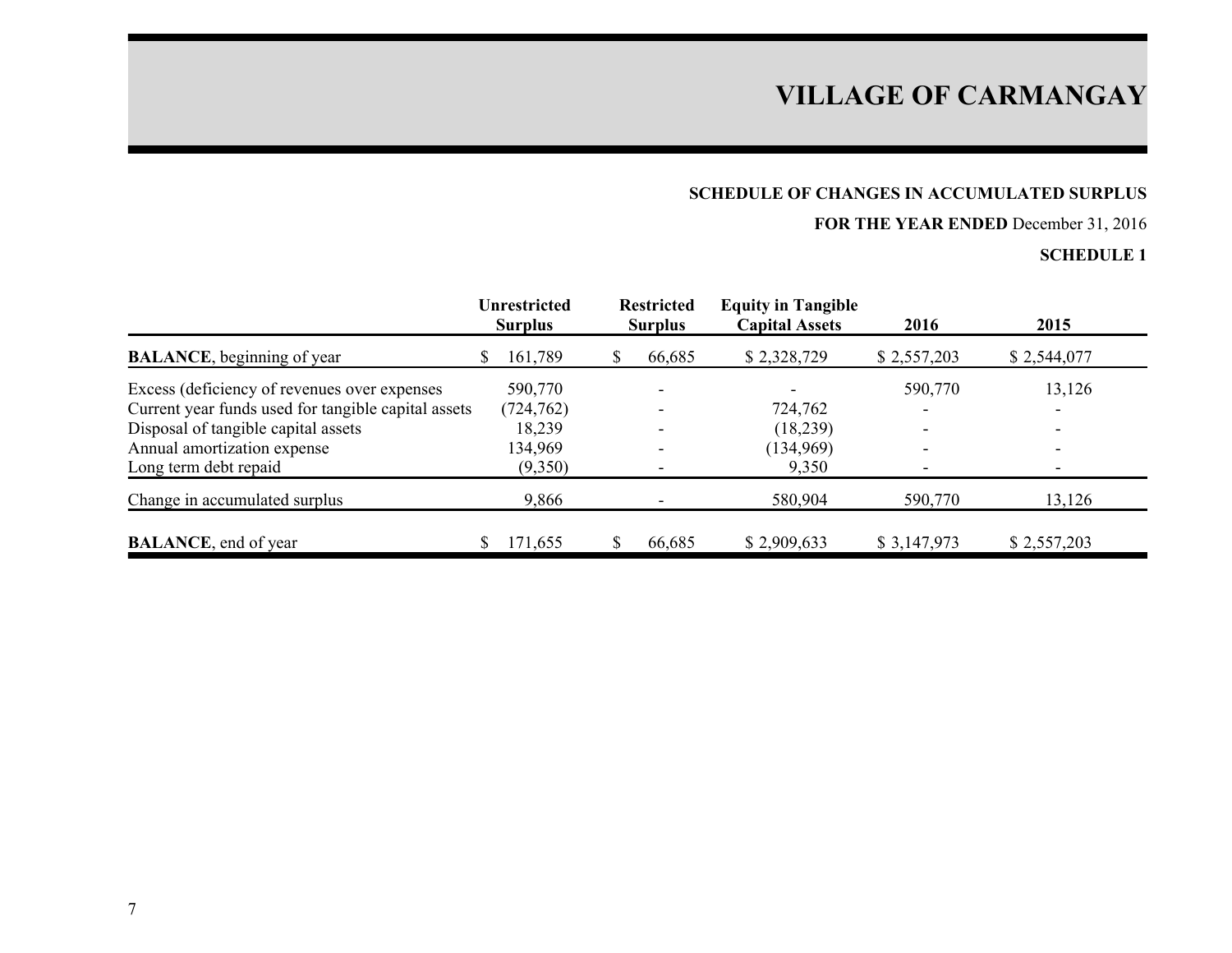## **SCHEDULE OF CHANGES IN ACCUMULATED SURPLUS**

## **FOR THE YEAR ENDED** December 31, 2016

|                                                     |    | Unrestricted<br><b>Surplus</b> | <b>Restricted</b><br><b>Surplus</b> | <b>Equity in Tangible</b><br><b>Capital Assets</b> | 2016                     | 2015        |
|-----------------------------------------------------|----|--------------------------------|-------------------------------------|----------------------------------------------------|--------------------------|-------------|
| <b>BALANCE</b> , beginning of year                  | S. | 161,789                        | 66,685                              | \$2,328,729                                        | \$2,557,203              | \$2,544,077 |
| Excess (deficiency of revenues over expenses        |    | 590,770                        |                                     |                                                    | 590,770                  | 13,126      |
| Current year funds used for tangible capital assets |    | (724, 762)                     |                                     | 724,762                                            | $\overline{\phantom{0}}$ |             |
| Disposal of tangible capital assets                 |    | 18,239                         |                                     | (18, 239)                                          | $\overline{\phantom{0}}$ |             |
| Annual amortization expense                         |    | 134,969                        |                                     | (134,969)                                          | $\overline{\phantom{0}}$ |             |
| Long term debt repaid                               |    | (9,350)                        |                                     | 9,350                                              |                          |             |
| Change in accumulated surplus                       |    | 9,866                          |                                     | 580,904                                            | 590,770                  | 13,126      |
| <b>BALANCE</b> , end of year                        |    | 171,655                        | 66,685                              | \$2,909,633                                        | \$3,147,973              | \$2,557,203 |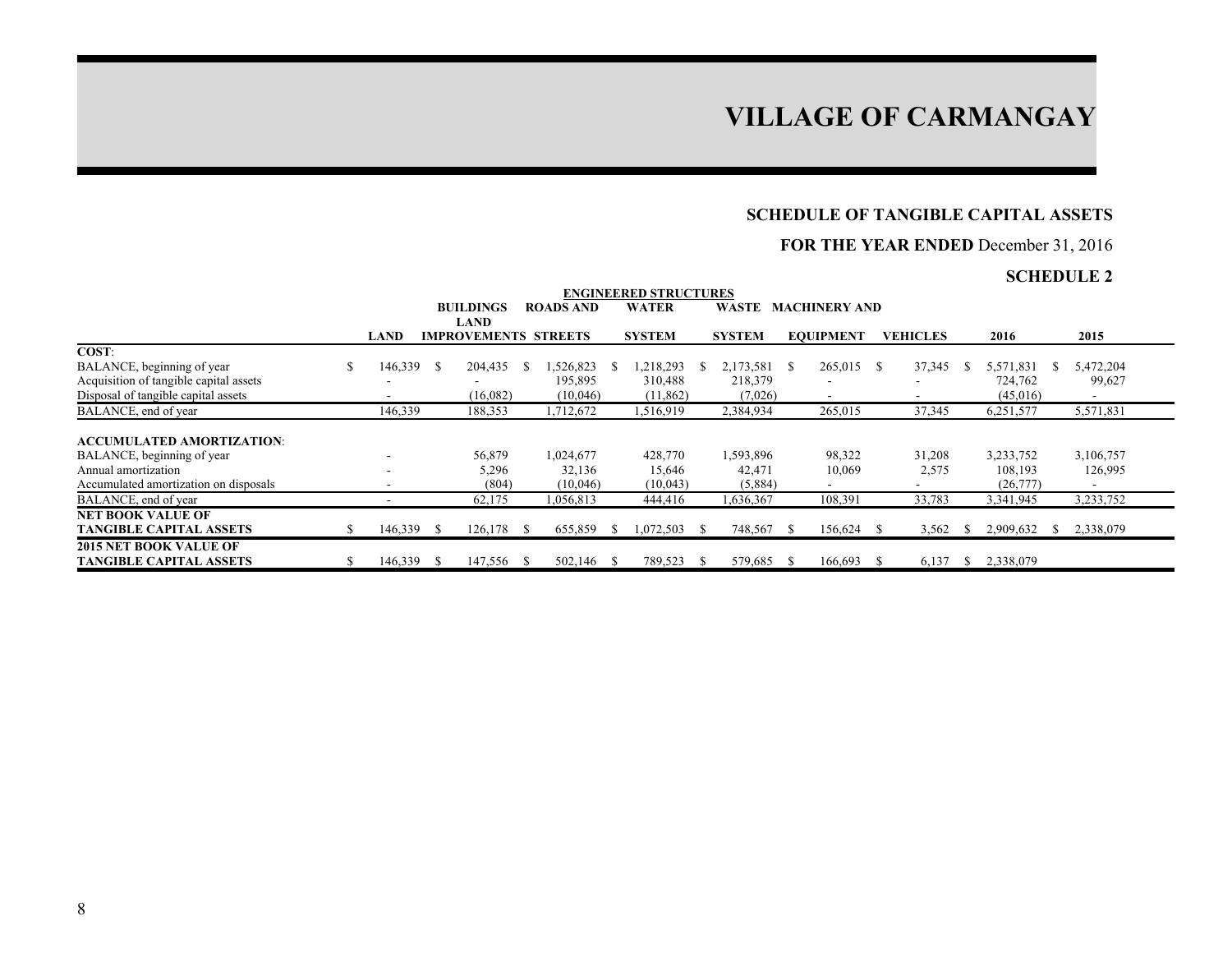#### **SCHEDULE OF TANGIBLE CAPITAL ASSETS**

### **FOR THE YEAR ENDED** December 31, 2016

|                                        |                          |      |                             |     |                  |    | <b>ENGINEERED STRUCTURES</b> |              |               |      |                      |    |                 |           |                          |  |
|----------------------------------------|--------------------------|------|-----------------------------|-----|------------------|----|------------------------------|--------------|---------------|------|----------------------|----|-----------------|-----------|--------------------------|--|
|                                        |                          |      | <b>BUILDINGS</b>            |     | <b>ROADS AND</b> |    | <b>WATER</b>                 |              | WASTE         |      | <b>MACHINERY AND</b> |    |                 |           |                          |  |
|                                        |                          |      | <b>LAND</b>                 |     |                  |    |                              |              |               |      |                      |    |                 |           |                          |  |
|                                        | <b>LAND</b>              |      | <b>IMPROVEMENTS STREETS</b> |     |                  |    | <b>SYSTEM</b>                |              | <b>SYSTEM</b> |      | <b>EOUIPMENT</b>     |    | <b>VEHICLES</b> | 2016      | 2015                     |  |
| COST:                                  |                          |      |                             |     |                  |    |                              |              |               |      |                      |    |                 |           |                          |  |
| BALANCE, beginning of year<br>S        | 146,339                  | -8   | 204,435                     |     | .526,823         | -S | 1,218,293                    | <sup>S</sup> | 2,173,581     | -S   | 265,015              | -8 | 37,345          | 5,571,831 | 5,472,204                |  |
| Acquisition of tangible capital assets |                          |      |                             |     | 195,895          |    | 310,488                      |              | 218,379       |      |                      |    |                 | 724,762   | 99,627                   |  |
| Disposal of tangible capital assets    |                          |      | (16,082)                    |     | (10,046)         |    | (11, 862)                    |              | (7,026)       |      |                      |    |                 | (45,016)  |                          |  |
| BALANCE, end of year                   | 146,339                  |      | 188,353                     |     | 1,712,672        |    | 1,516,919                    |              | 2,384,934     |      | 265,015              |    | 37,345          | 6,251,577 | 5,571,831                |  |
|                                        |                          |      |                             |     |                  |    |                              |              |               |      |                      |    |                 |           |                          |  |
| <b>ACCUMULATED AMORTIZATION:</b>       |                          |      |                             |     |                  |    |                              |              |               |      |                      |    |                 |           |                          |  |
| BALANCE, beginning of year             |                          |      | 56,879                      |     | 1,024,677        |    | 428,770                      |              | 1,593,896     |      | 98,322               |    | 31,208          | 3,233,752 | 3,106,757                |  |
| Annual amortization                    | $\overline{\phantom{a}}$ |      | 5,296                       |     | 32,136           |    | 15,646                       |              | 42,471        |      | 10,069               |    | 2,575           | 108,193   | 126,995                  |  |
| Accumulated amortization on disposals  |                          |      | (804)                       |     | (10,046)         |    | (10,043)                     |              | (5,884)       |      |                      |    |                 | (26,777)  | $\overline{\phantom{a}}$ |  |
| BALANCE, end of year                   |                          |      | 62,175                      |     | 1,056,813        |    | 444,416                      |              | 1,636,367     |      | 108,391              |    | 33,783          | 3,341,945 | 3,233,752                |  |
| NET BOOK VALUE OF                      |                          |      |                             |     |                  |    |                              |              |               |      |                      |    |                 |           |                          |  |
| <b>TANGIBLE CAPITAL ASSETS</b>         | 146,339                  | - \$ | 126,178                     | - S | 655,859          | S  | 1,072,503                    | -S           | 748,567       | - \$ | 156,624              | -S | 3,562           | 2,909,632 | 2,338,079                |  |
| <b>2015 NET BOOK VALUE OF</b>          |                          |      |                             |     |                  |    |                              |              |               |      |                      |    |                 |           |                          |  |
| <b>TANGIBLE CAPITAL ASSETS</b><br>\$   | 146,339                  | - \$ | 147,556                     |     | 502,146          | -S | 789,523                      | -S           | 579,685       | -S   | 166,693              | -S | 6,137           | 2,338,079 |                          |  |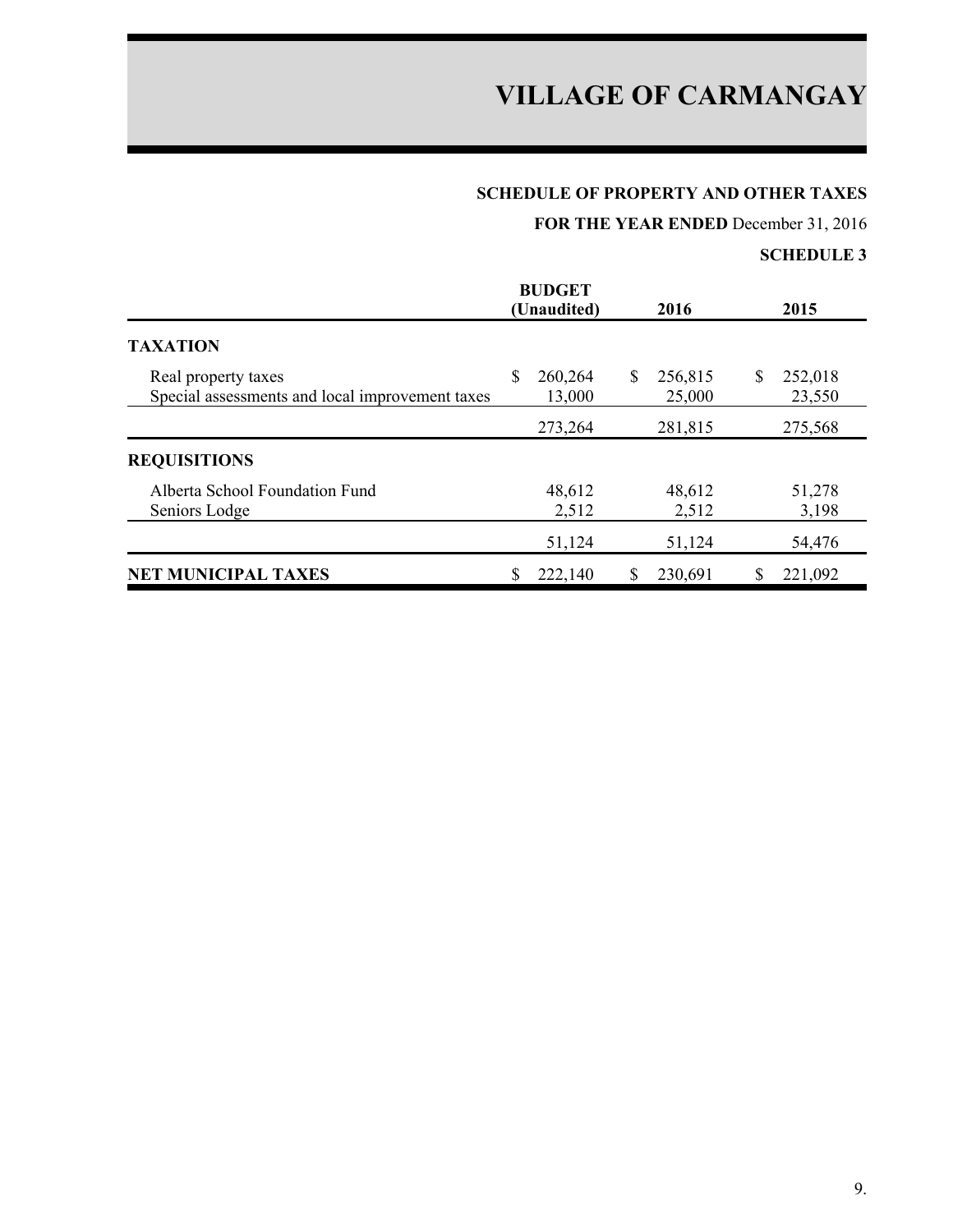## **SCHEDULE OF PROPERTY AND OTHER TAXES**

**FOR THE YEAR ENDED** December 31, 2016

|                                                                        | <b>BUDGET</b><br>(Unaudited) | 2016                   | 2015                    |
|------------------------------------------------------------------------|------------------------------|------------------------|-------------------------|
| <b>TAXATION</b>                                                        |                              |                        |                         |
| Real property taxes<br>Special assessments and local improvement taxes | \$<br>260,264<br>13,000      | 256,815<br>S<br>25,000 | \$<br>252,018<br>23,550 |
|                                                                        | 273,264                      | 281,815                | 275,568                 |
| <b>REQUISITIONS</b>                                                    |                              |                        |                         |
| Alberta School Foundation Fund<br>Seniors Lodge                        | 48,612<br>2,512              | 48,612<br>2,512        | 51,278<br>3,198         |
|                                                                        | 51,124                       | 51,124                 | 54,476                  |
| <b>NET MUNICIPAL TAXES</b>                                             | 222,140                      | 230,691                | 221,092                 |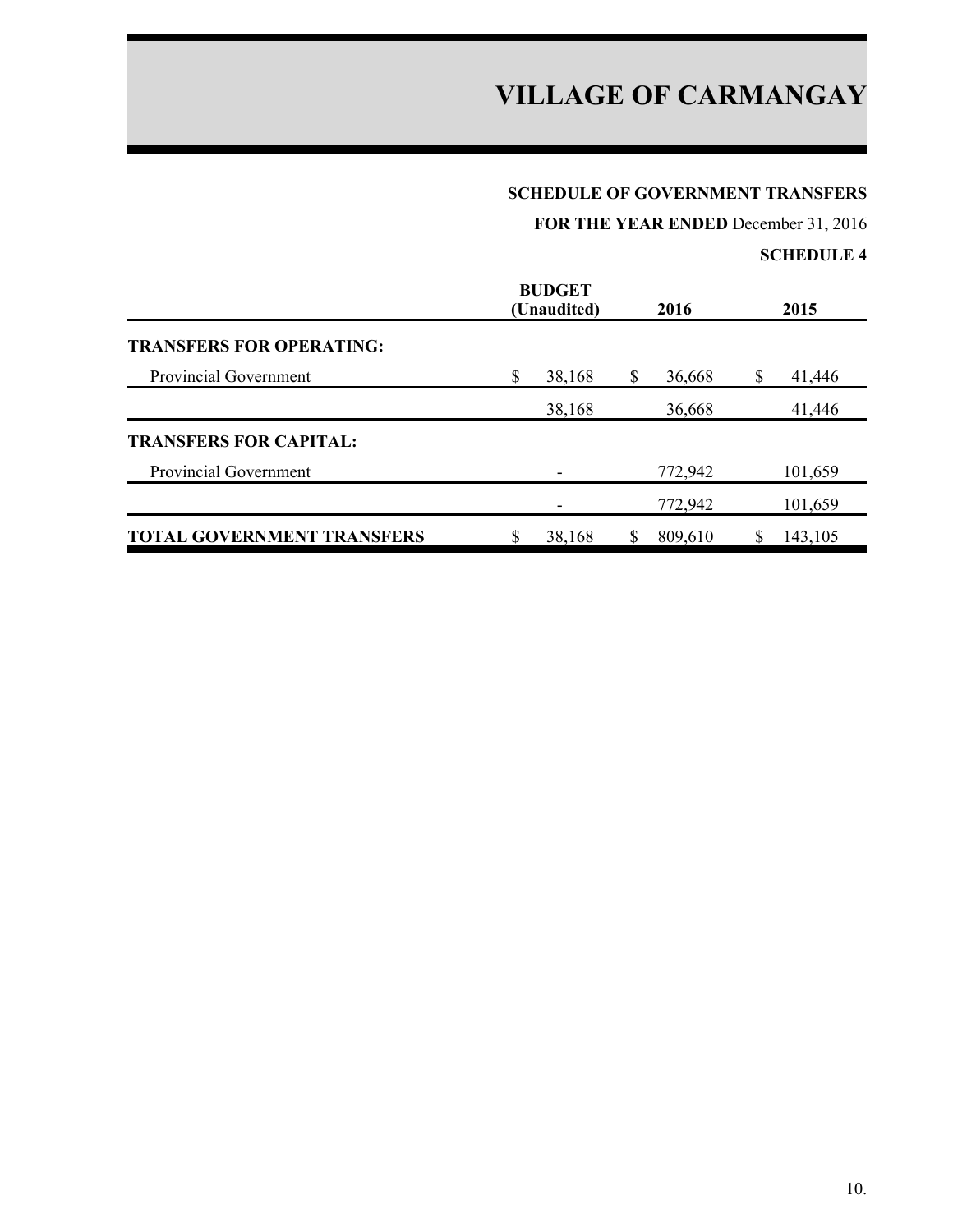### **SCHEDULE OF GOVERNMENT TRANSFERS**

**FOR THE YEAR ENDED** December 31, 2016

|                                   | <b>BUDGET</b><br>(Unaudited) | 2016    |   | 2015    |
|-----------------------------------|------------------------------|---------|---|---------|
| <b>TRANSFERS FOR OPERATING:</b>   |                              |         |   |         |
| <b>Provincial Government</b>      | \$<br>38,168                 | 36,668  | S | 41,446  |
|                                   | 38,168                       | 36,668  |   | 41,446  |
| <b>TRANSFERS FOR CAPITAL:</b>     |                              |         |   |         |
| Provincial Government             |                              | 772,942 |   | 101,659 |
|                                   |                              | 772,942 |   | 101,659 |
| <b>TOTAL GOVERNMENT TRANSFERS</b> | 38,168                       | 809,610 |   | 143,105 |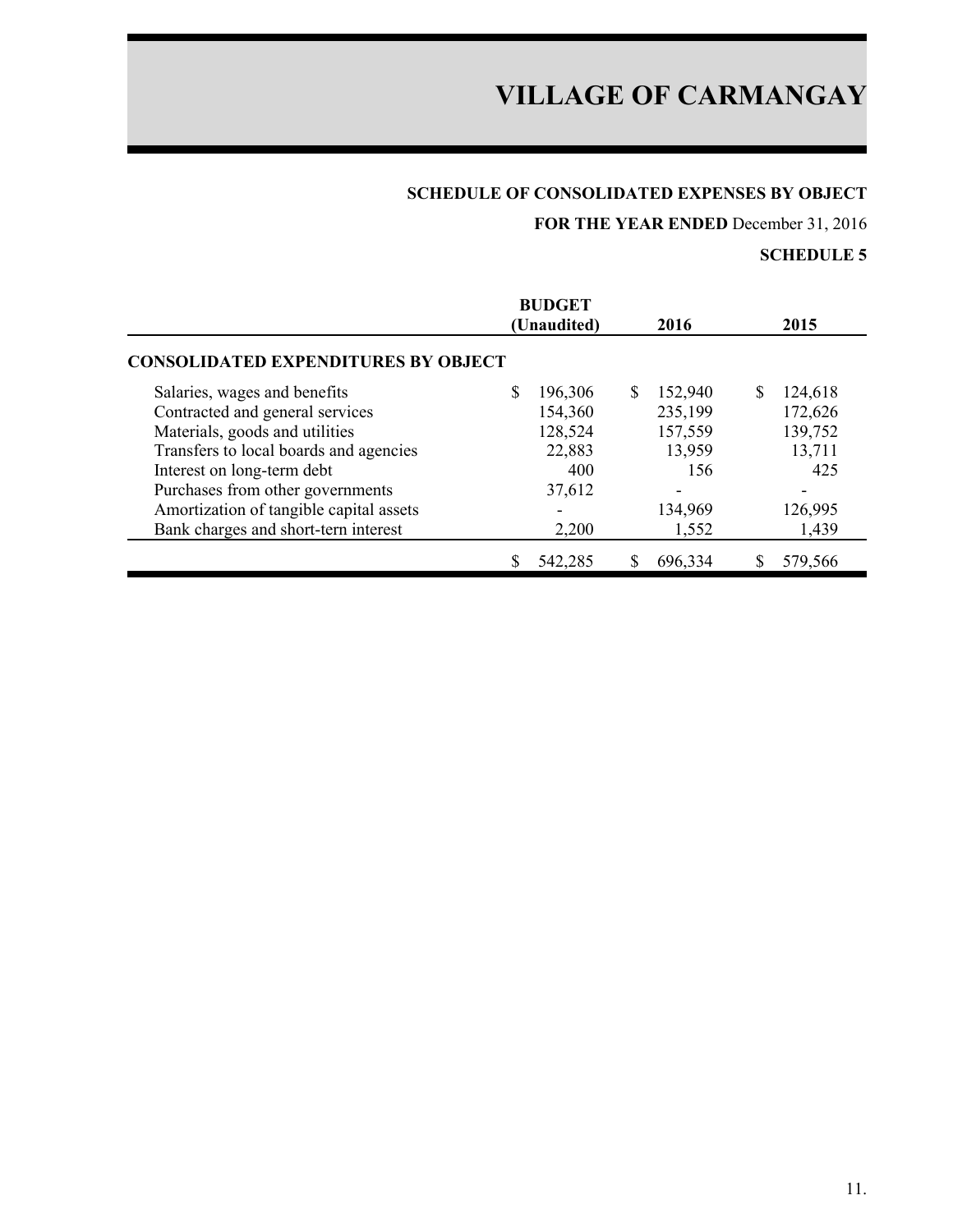## **SCHEDULE OF CONSOLIDATED EXPENSES BY OBJECT**

**FOR THE YEAR ENDED** December 31, 2016

|                                            | <b>BUDGET</b><br>(Unaudited) | 2016           | 2015         |
|--------------------------------------------|------------------------------|----------------|--------------|
| <b>CONSOLIDATED EXPENDITURES BY OBJECT</b> |                              |                |              |
| Salaries, wages and benefits               | S<br>196,306                 | \$.<br>152,940 | S<br>124,618 |
| Contracted and general services            | 154,360                      | 235,199        | 172,626      |
| Materials, goods and utilities             | 128,524                      | 157,559        | 139,752      |
| Transfers to local boards and agencies     | 22,883                       | 13,959         | 13,711       |
| Interest on long-term debt                 | 400                          | 156            | 425          |
| Purchases from other governments           | 37,612                       |                |              |
| Amortization of tangible capital assets    |                              | 134,969        | 126,995      |
| Bank charges and short-tern interest       | 2,200                        | 1,552          | 1,439        |
|                                            | 542,285                      | 696,334        | 579,566      |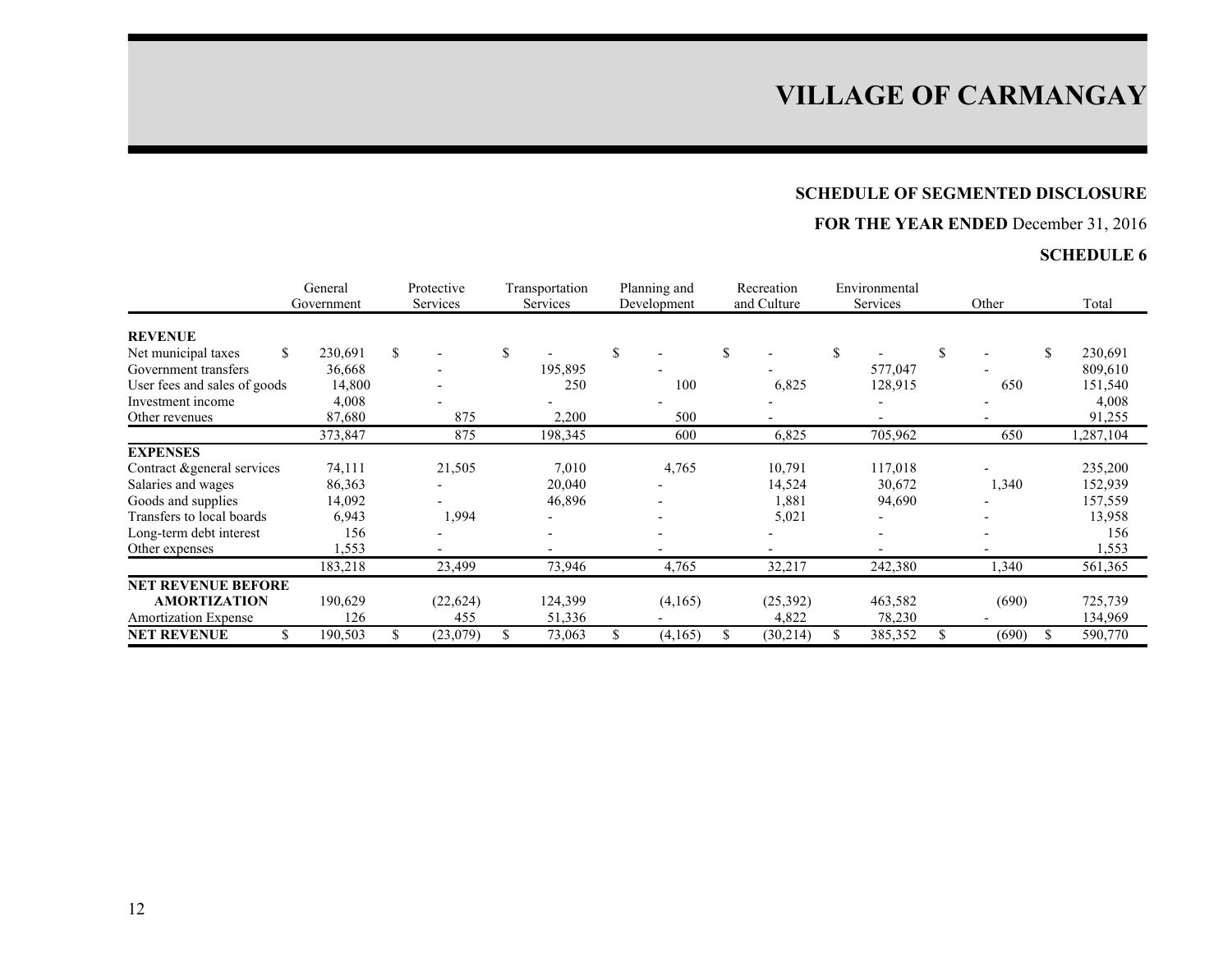### **SCHEDULE OF SEGMENTED DISCLOSURE**

## **FOR THE YEAR ENDED** December 31, 2016

|                              | General       |     | Protective<br>Services | Transportation  | Planning and |             |    | Recreation<br>and Culture |          | Environmental            |    | Other | Total    |
|------------------------------|---------------|-----|------------------------|-----------------|--------------|-------------|----|---------------------------|----------|--------------------------|----|-------|----------|
|                              | Government    |     |                        | <b>Services</b> |              | Development |    |                           | Services |                          |    |       |          |
| <b>REVENUE</b>               |               |     |                        |                 |              |             |    |                           |          |                          |    |       |          |
| Net municipal taxes          | \$<br>230,691 | \$  |                        |                 | \$           | ۰           | \$ |                           |          |                          | \$ |       | 230,691  |
| Government transfers         | 36,668        |     |                        | 195,895         |              |             |    |                           |          | 577,047                  |    |       | 809,610  |
| User fees and sales of goods | 14,800        |     |                        | 250             |              | 100         |    | 6,825                     |          | 128,915                  |    | 650   | 151,540  |
| Investment income            | 4,008         |     |                        |                 |              |             |    |                           |          |                          |    |       | 4,008    |
| Other revenues               | 87,680        |     | 875                    | 2,200           |              | 500         |    | $\overline{\phantom{0}}$  |          | $\overline{\phantom{0}}$ |    |       | 91,255   |
|                              | 373,847       |     | 875                    | 198,345         |              | 600         |    | 6,825                     |          | 705,962                  |    | 650   | ,287,104 |
| <b>EXPENSES</b>              |               |     |                        |                 |              |             |    |                           |          |                          |    |       |          |
| Contract & general services  | 74,111        |     | 21,505                 | 7,010           |              | 4,765       |    | 10,791                    |          | 117,018                  |    |       | 235,200  |
| Salaries and wages           | 86,363        |     |                        | 20,040          |              |             |    | 14,524                    |          | 30,672                   |    | 1,340 | 152,939  |
| Goods and supplies           | 14,092        |     |                        | 46,896          |              |             |    | 1,881                     |          | 94,690                   |    |       | 157,559  |
| Transfers to local boards    | 6,943         |     | 1,994                  |                 |              |             |    | 5,021                     |          | $\overline{\phantom{0}}$ |    |       | 13,958   |
| Long-term debt interest      | 156           |     |                        |                 |              |             |    |                           |          |                          |    |       | 156      |
| Other expenses               | .553          |     |                        |                 |              |             |    |                           |          |                          |    |       | 1,553    |
|                              | 183,218       |     | 23,499                 | 73,946          |              | 4,765       |    | 32,217                    |          | 242,380                  |    | 1,340 | 561,365  |
| <b>NET REVENUE BEFORE</b>    |               |     |                        |                 |              |             |    |                           |          |                          |    |       |          |
| <b>AMORTIZATION</b>          | 190,629       |     | (22, 624)              | 124,399         |              | (4,165)     |    | (25, 392)                 |          | 463,582                  |    | (690) | 725,739  |
| <b>Amortization Expense</b>  | 126           |     | 455                    | 51,336          |              |             |    | 4,822                     |          | 78,230                   |    |       | 134,969  |
| <b>NET REVENUE</b>           | 190,503       | \$. | (23,079)               | 73,063          |              | (4,165)     | \$ | (30, 214)                 |          | 385,352                  |    | (690) | 590,770  |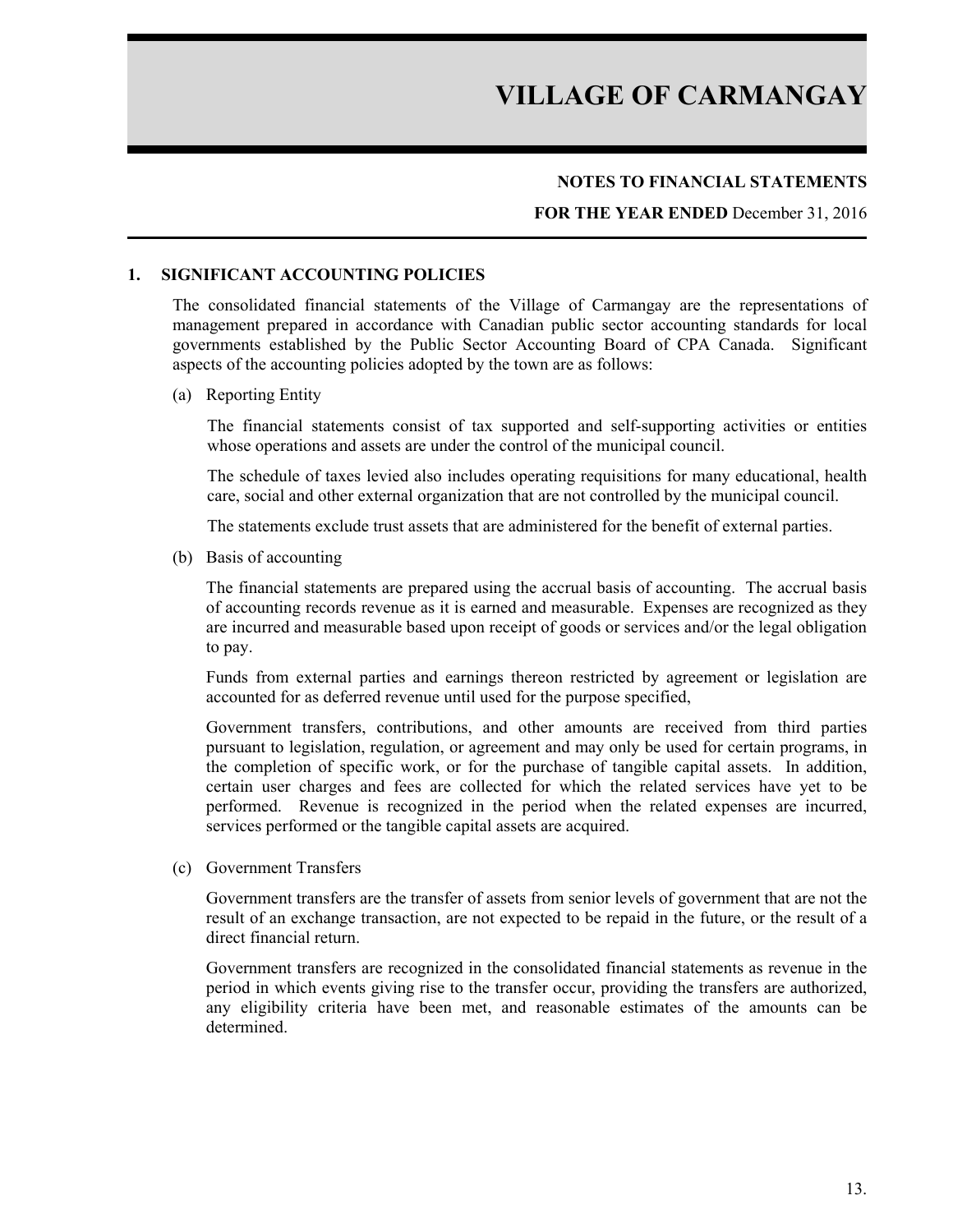#### **NOTES TO FINANCIAL STATEMENTS**

#### **FOR THE YEAR ENDED** December 31, 2016

#### **1. SIGNIFICANT ACCOUNTING POLICIES**

The consolidated financial statements of the Village of Carmangay are the representations of management prepared in accordance with Canadian public sector accounting standards for local governments established by the Public Sector Accounting Board of CPA Canada. Significant aspects of the accounting policies adopted by the town are as follows:

#### (a) Reporting Entity

The financial statements consist of tax supported and self-supporting activities or entities whose operations and assets are under the control of the municipal council.

The schedule of taxes levied also includes operating requisitions for many educational, health care, social and other external organization that are not controlled by the municipal council.

The statements exclude trust assets that are administered for the benefit of external parties.

(b) Basis of accounting

The financial statements are prepared using the accrual basis of accounting. The accrual basis of accounting records revenue as it is earned and measurable. Expenses are recognized as they are incurred and measurable based upon receipt of goods or services and/or the legal obligation to pay.

Funds from external parties and earnings thereon restricted by agreement or legislation are accounted for as deferred revenue until used for the purpose specified,

Government transfers, contributions, and other amounts are received from third parties pursuant to legislation, regulation, or agreement and may only be used for certain programs, in the completion of specific work, or for the purchase of tangible capital assets. In addition, certain user charges and fees are collected for which the related services have yet to be performed. Revenue is recognized in the period when the related expenses are incurred, services performed or the tangible capital assets are acquired.

(c) Government Transfers

Government transfers are the transfer of assets from senior levels of government that are not the result of an exchange transaction, are not expected to be repaid in the future, or the result of a direct financial return.

Government transfers are recognized in the consolidated financial statements as revenue in the period in which events giving rise to the transfer occur, providing the transfers are authorized, any eligibility criteria have been met, and reasonable estimates of the amounts can be determined.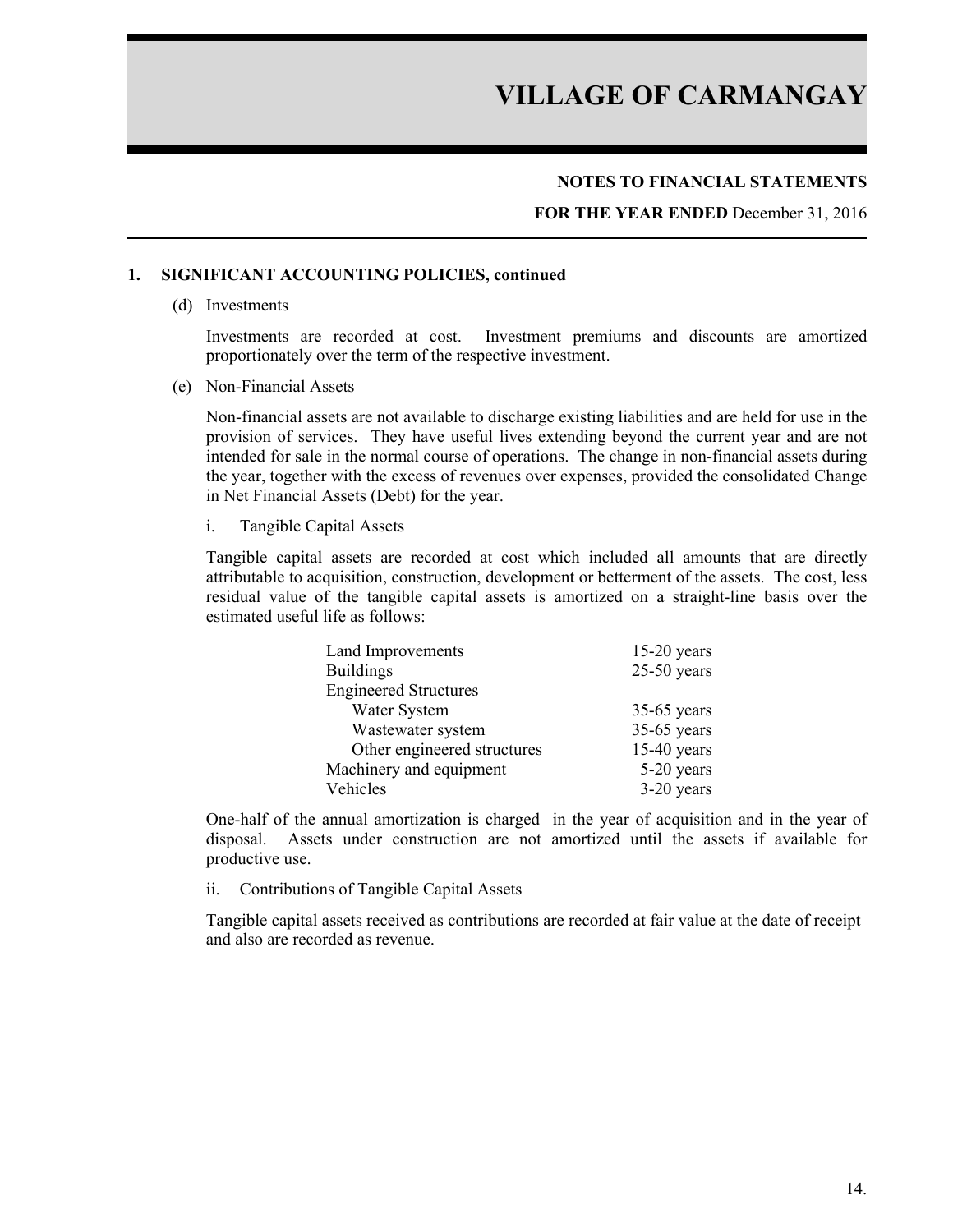#### **NOTES TO FINANCIAL STATEMENTS**

**FOR THE YEAR ENDED** December 31, 2016

#### **1. SIGNIFICANT ACCOUNTING POLICIES, continued**

(d) Investments

Investments are recorded at cost. Investment premiums and discounts are amortized proportionately over the term of the respective investment.

(e) Non-Financial Assets

Non-financial assets are not available to discharge existing liabilities and are held for use in the provision of services. They have useful lives extending beyond the current year and are not intended for sale in the normal course of operations. The change in non-financial assets during the year, together with the excess of revenues over expenses, provided the consolidated Change in Net Financial Assets (Debt) for the year.

i. Tangible Capital Assets

Tangible capital assets are recorded at cost which included all amounts that are directly attributable to acquisition, construction, development or betterment of the assets. The cost, less residual value of the tangible capital assets is amortized on a straight-line basis over the estimated useful life as follows:

| Land Improvements            | $15-20$ years |
|------------------------------|---------------|
| <b>Buildings</b>             | $25-50$ years |
| <b>Engineered Structures</b> |               |
| Water System                 | $35-65$ years |
| Wastewater system            | $35-65$ years |
| Other engineered structures  | $15-40$ years |
| Machinery and equipment      | 5-20 years    |
| Vehicles                     | $3-20$ years  |

One-half of the annual amortization is charged in the year of acquisition and in the year of disposal. Assets under construction are not amortized until the assets if available for productive use.

ii. Contributions of Tangible Capital Assets

Tangible capital assets received as contributions are recorded at fair value at the date of receipt and also are recorded as revenue.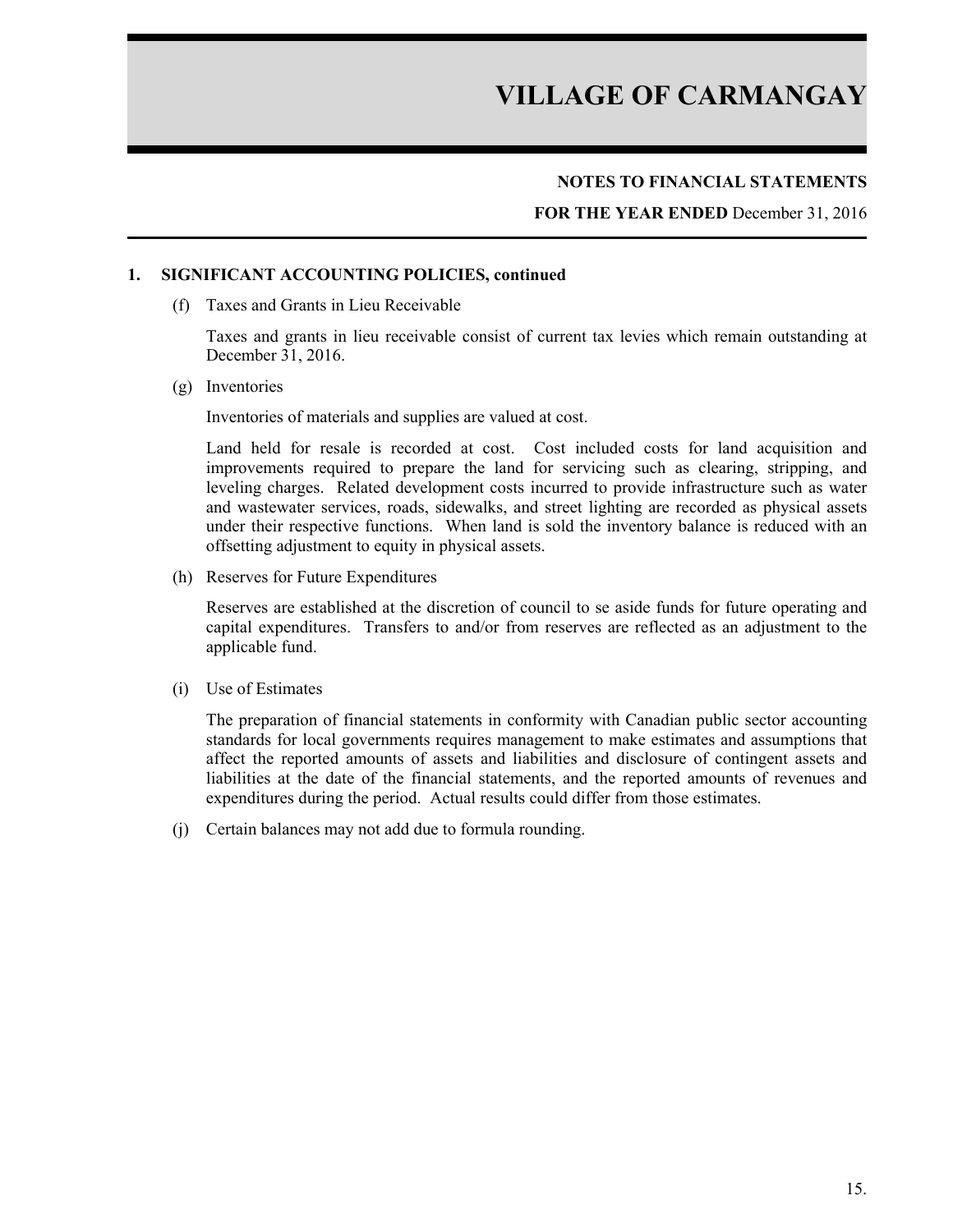#### **NOTES TO FINANCIAL STATEMENTS**

**FOR THE YEAR ENDED** December 31, 2016

#### **1. SIGNIFICANT ACCOUNTING POLICIES, continued**

(f) Taxes and Grants in Lieu Receivable

Taxes and grants in lieu receivable consist of current tax levies which remain outstanding at December 31, 2016.

(g) Inventories

Inventories of materials and supplies are valued at cost.

Land held for resale is recorded at cost. Cost included costs for land acquisition and improvements required to prepare the land for servicing such as clearing, stripping, and leveling charges. Related development costs incurred to provide infrastructure such as water and wastewater services, roads, sidewalks, and street lighting are recorded as physical assets under their respective functions. When land is sold the inventory balance is reduced with an offsetting adjustment to equity in physical assets.

(h) Reserves for Future Expenditures

Reserves are established at the discretion of council to se aside funds for future operating and capital expenditures. Transfers to and/or from reserves are reflected as an adjustment to the applicable fund.

(i) Use of Estimates

The preparation of financial statements in conformity with Canadian public sector accounting standards for local governments requires management to make estimates and assumptions that affect the reported amounts of assets and liabilities and disclosure of contingent assets and liabilities at the date of the financial statements, and the reported amounts of revenues and expenditures during the period. Actual results could differ from those estimates.

(j) Certain balances may not add due to formula rounding.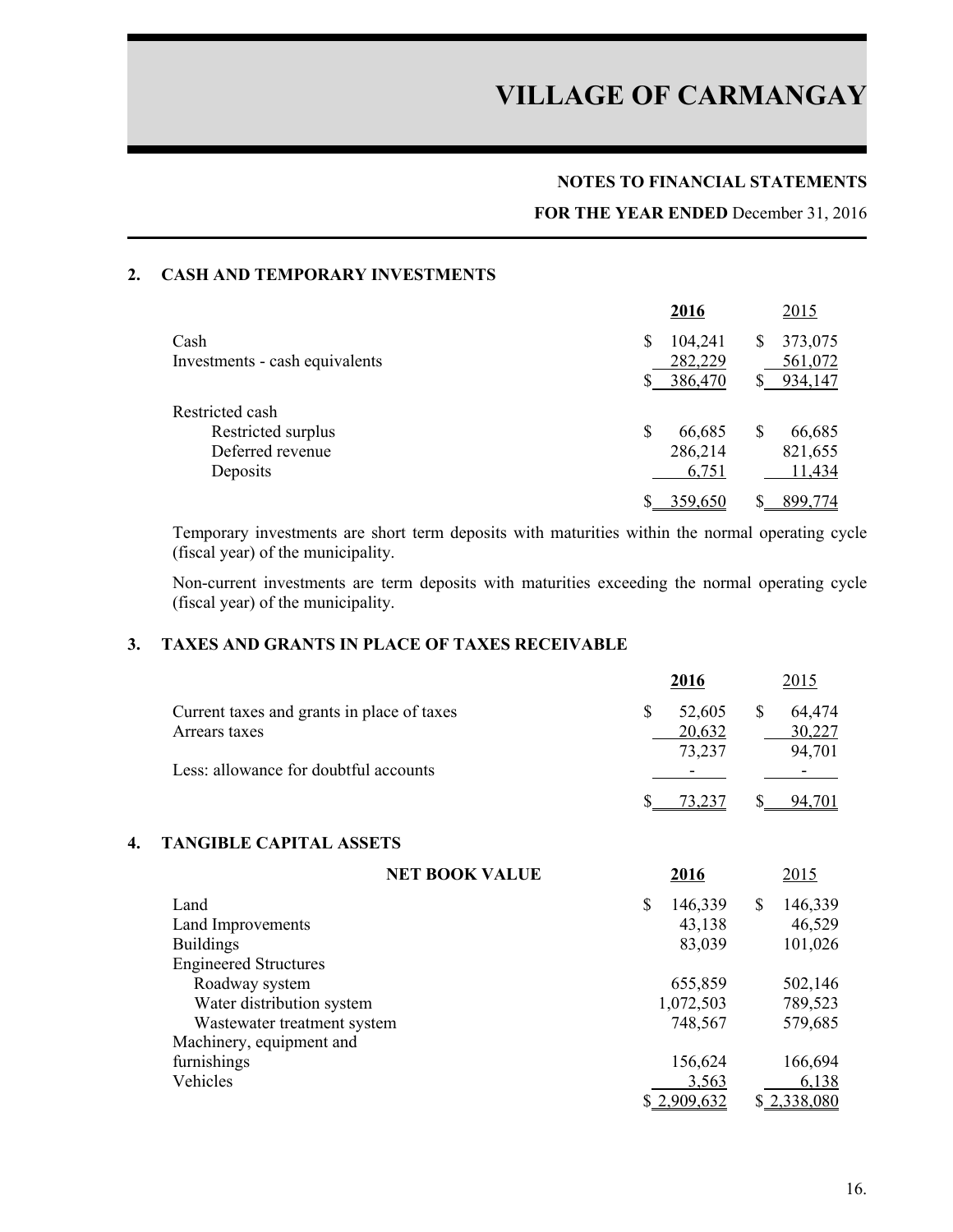#### **NOTES TO FINANCIAL STATEMENTS**

#### **FOR THE YEAR ENDED** December 31, 2016

#### **2. CASH AND TEMPORARY INVESTMENTS**

|                                | 2016         | <u>2015</u>  |
|--------------------------------|--------------|--------------|
| Cash                           | 104,241<br>S | 373,075<br>S |
| Investments - cash equivalents | 282,229      | 561,072      |
|                                | 386,470      | 934,147      |
| Restricted cash                |              |              |
| Restricted surplus             | \$<br>66,685 | 66,685<br>S  |
| Deferred revenue               | 286,214      | 821,655      |
| Deposits                       | 6,751        | 11,434       |
|                                | 359,650      | 899,774      |

Temporary investments are short term deposits with maturities within the normal operating cycle (fiscal year) of the municipality.

Non-current investments are term deposits with maturities exceeding the normal operating cycle (fiscal year) of the municipality.

### **3. TAXES AND GRANTS IN PLACE OF TAXES RECEIVABLE**

|                                            | 2016                     | 2015   |
|--------------------------------------------|--------------------------|--------|
| Current taxes and grants in place of taxes | 52,605                   | 64,474 |
| Arrears taxes                              | 20,632                   | 30,227 |
|                                            | 73,237                   | 94,701 |
| Less: allowance for doubtful accounts      | $\overline{\phantom{0}}$ |        |
|                                            |                          | 94     |

#### **4. TANGIBLE CAPITAL ASSETS**

| <b>NET BOOK VALUE</b>        | 2016          | 2015          |
|------------------------------|---------------|---------------|
| Land                         | \$<br>146,339 | 146,339<br>\$ |
| Land Improvements            | 43,138        | 46,529        |
| <b>Buildings</b>             | 83,039        | 101,026       |
| <b>Engineered Structures</b> |               |               |
| Roadway system               | 655,859       | 502,146       |
| Water distribution system    | 1,072,503     | 789,523       |
| Wastewater treatment system  | 748,567       | 579,685       |
| Machinery, equipment and     |               |               |
| furnishings                  | 156,624       | 166,694       |
| Vehicles                     | 3,563         | 6,138         |
|                              | \$2,909,632   | \$2,338,080   |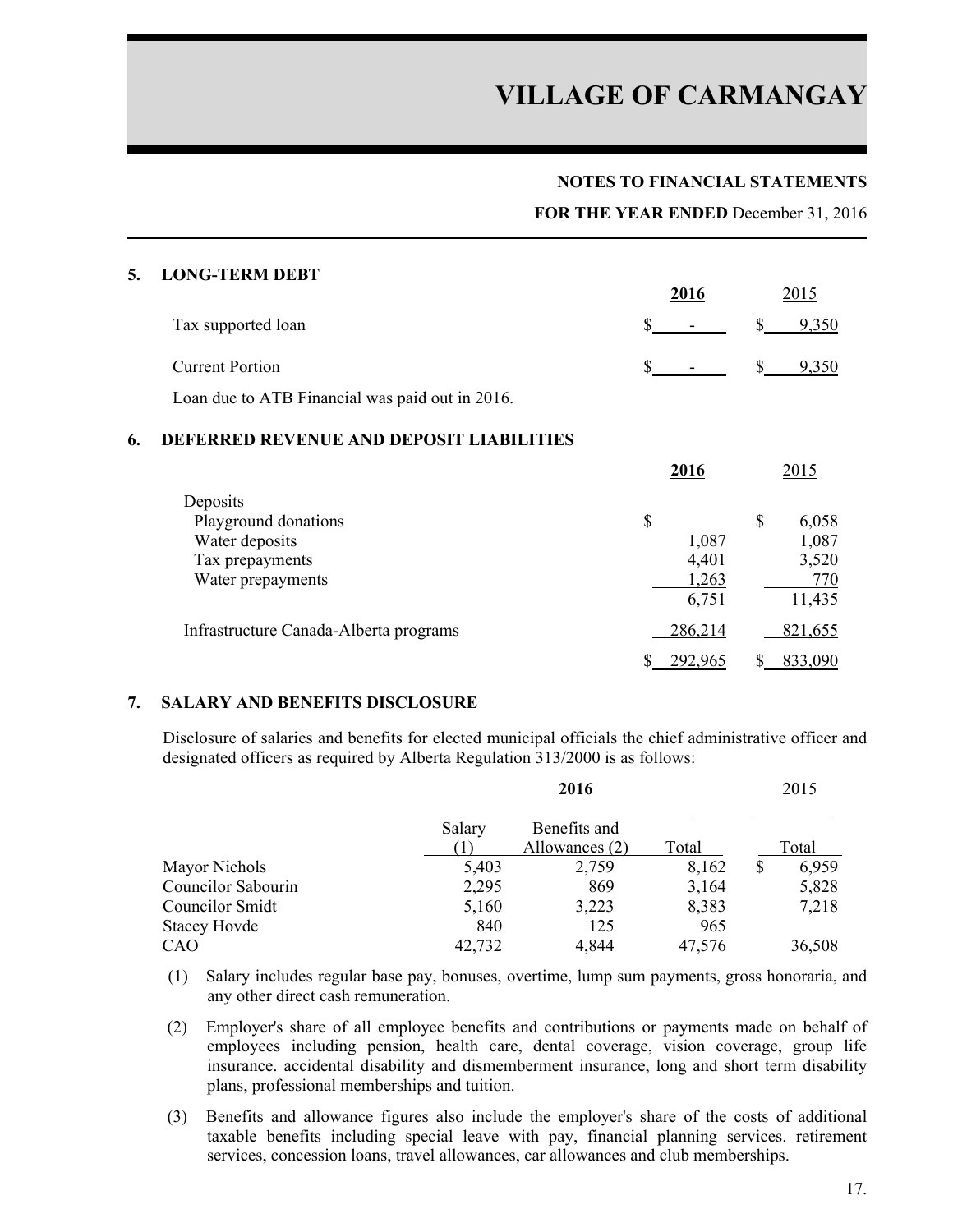#### **NOTES TO FINANCIAL STATEMENTS**

**FOR THE YEAR ENDED** December 31, 2016

#### **5. LONG-TERM DEBT**

|                                                 | 2016                  |                       |
|-------------------------------------------------|-----------------------|-----------------------|
| Tax supported loan                              | $\frac{\sim}{\sim}$ - | $\frac{\$}{9,350}$    |
| <b>Current Portion</b>                          | $S =$                 | $\frac{\$}{\$}$ 9,350 |
| Loan due to ATB Financial was paid out in 2016. |                       |                       |

#### **6. DEFERRED REVENUE AND DEPOSIT LIABILITIES**

|                                        | 2016    | 2015        |
|----------------------------------------|---------|-------------|
| Deposits                               |         |             |
| Playground donations                   | \$      | \$<br>6,058 |
| Water deposits                         | 1,087   | 1,087       |
| Tax prepayments                        | 4,401   | 3,520       |
| Water prepayments                      | 1,263   | 770         |
|                                        | 6,751   | 11,435      |
| Infrastructure Canada-Alberta programs | 286,214 | 821,655     |
|                                        | 292,965 | 833,090     |

#### **7. SALARY AND BENEFITS DISCLOSURE**

Disclosure of salaries and benefits for elected municipal officials the chief administrative officer and designated officers as required by Alberta Regulation 313/2000 is as follows:

|                     | 2016   |                | 2015   |             |
|---------------------|--------|----------------|--------|-------------|
|                     | Salary | Benefits and   |        |             |
|                     |        | Allowances (2) | Total  | Total       |
| Mayor Nichols       | 5,403  | 2,759          | 8,162  | \$<br>6,959 |
| Councilor Sabourin  | 2,295  | 869            | 3,164  | 5,828       |
| Councilor Smidt     | 5,160  | 3,223          | 8,383  | 7,218       |
| <b>Stacey Hovde</b> | 840    | 125            | 965    |             |
| CAO                 | 42,732 | 4,844          | 47,576 | 36,508      |

- (1) Salary includes regular base pay, bonuses, overtime, lump sum payments, gross honoraria, and any other direct cash remuneration.
- (2) Employer's share of all employee benefits and contributions or payments made on behalf of employees including pension, health care, dental coverage, vision coverage, group life insurance. accidental disability and dismemberment insurance, long and short term disability plans, professional memberships and tuition.
- (3) Benefits and allowance figures also include the employer's share of the costs of additional taxable benefits including special leave with pay, financial planning services. retirement services, concession loans, travel allowances, car allowances and club memberships.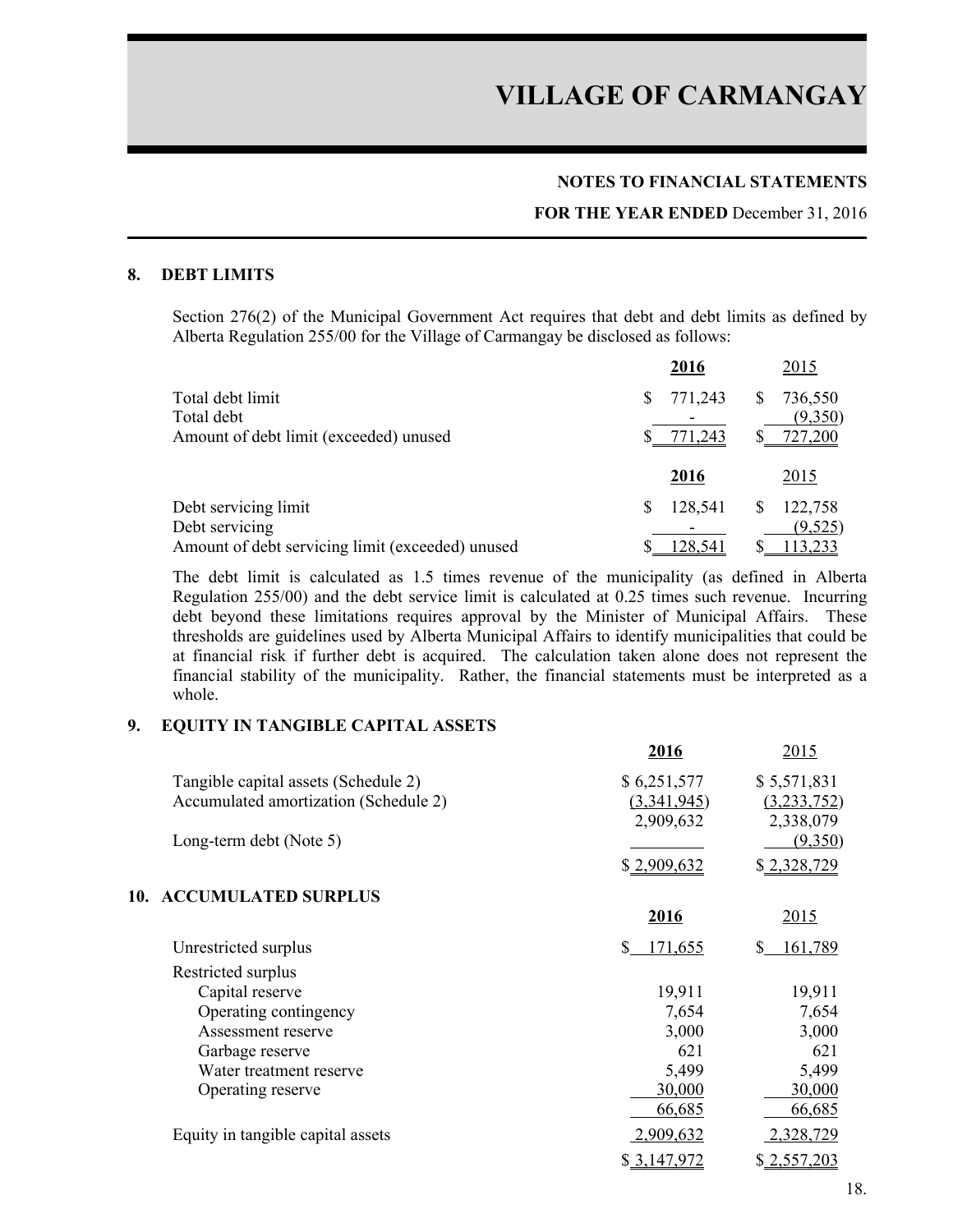#### **NOTES TO FINANCIAL STATEMENTS**

#### **FOR THE YEAR ENDED** December 31, 2016

#### **8. DEBT LIMITS**

Section 276(2) of the Municipal Government Act requires that debt and debt limits as defined by Alberta Regulation 255/00 for the Village of Carmangay be disclosed as follows:

|                                                  | 2016         | 2015                    |
|--------------------------------------------------|--------------|-------------------------|
| Total debt limit<br>Total debt                   | 771,243<br>S | 736,550<br>S<br>(9,350) |
| Amount of debt limit (exceeded) unused           | 771,243      | 727,200                 |
|                                                  | 2016         | 2015                    |
| Debt servicing limit                             | 128,541<br>S | 122,758<br>S            |
| Debt servicing                                   |              | (9,525)                 |
| Amount of debt servicing limit (exceeded) unused | 128,541      | 113,233                 |

The debt limit is calculated as 1.5 times revenue of the municipality (as defined in Alberta Regulation 255/00) and the debt service limit is calculated at 0.25 times such revenue. Incurring debt beyond these limitations requires approval by the Minister of Municipal Affairs. These thresholds are guidelines used by Alberta Municipal Affairs to identify municipalities that could be at financial risk if further debt is acquired. The calculation taken alone does not represent the financial stability of the municipality. Rather, the financial statements must be interpreted as a whole.

#### **9. EQUITY IN TANGIBLE CAPITAL ASSETS**

|                                       | 2016          | 2015          |
|---------------------------------------|---------------|---------------|
| Tangible capital assets (Schedule 2)  | \$6,251,577   | \$5,571,831   |
| Accumulated amortization (Schedule 2) | (3,341,945)   | (3,233,752)   |
|                                       | 2,909,632     | 2,338,079     |
| Long-term debt (Note 5)               |               | (9,350)       |
|                                       | \$2,909,632   | \$2,328,729   |
| <b>ACCUMULATED SURPLUS</b><br>10.     |               |               |
|                                       | 2016          | <u> 2015 </u> |
| Unrestricted surplus                  | \$<br>171,655 | \$<br>161,789 |
| Restricted surplus                    |               |               |
| Capital reserve                       | 19,911        | 19,911        |
| Operating contingency                 | 7,654         | 7,654         |
| Assessment reserve                    | 3,000         | 3,000         |
| Garbage reserve                       | 621           | 621           |
| Water treatment reserve               | 5,499         | 5,499         |
| Operating reserve                     | 30,000        | 30,000        |
|                                       | 66,685        | 66,685        |
| Equity in tangible capital assets     | 2,909,632     | 2,328,729     |
|                                       | \$3,147,972   | \$2,557,203   |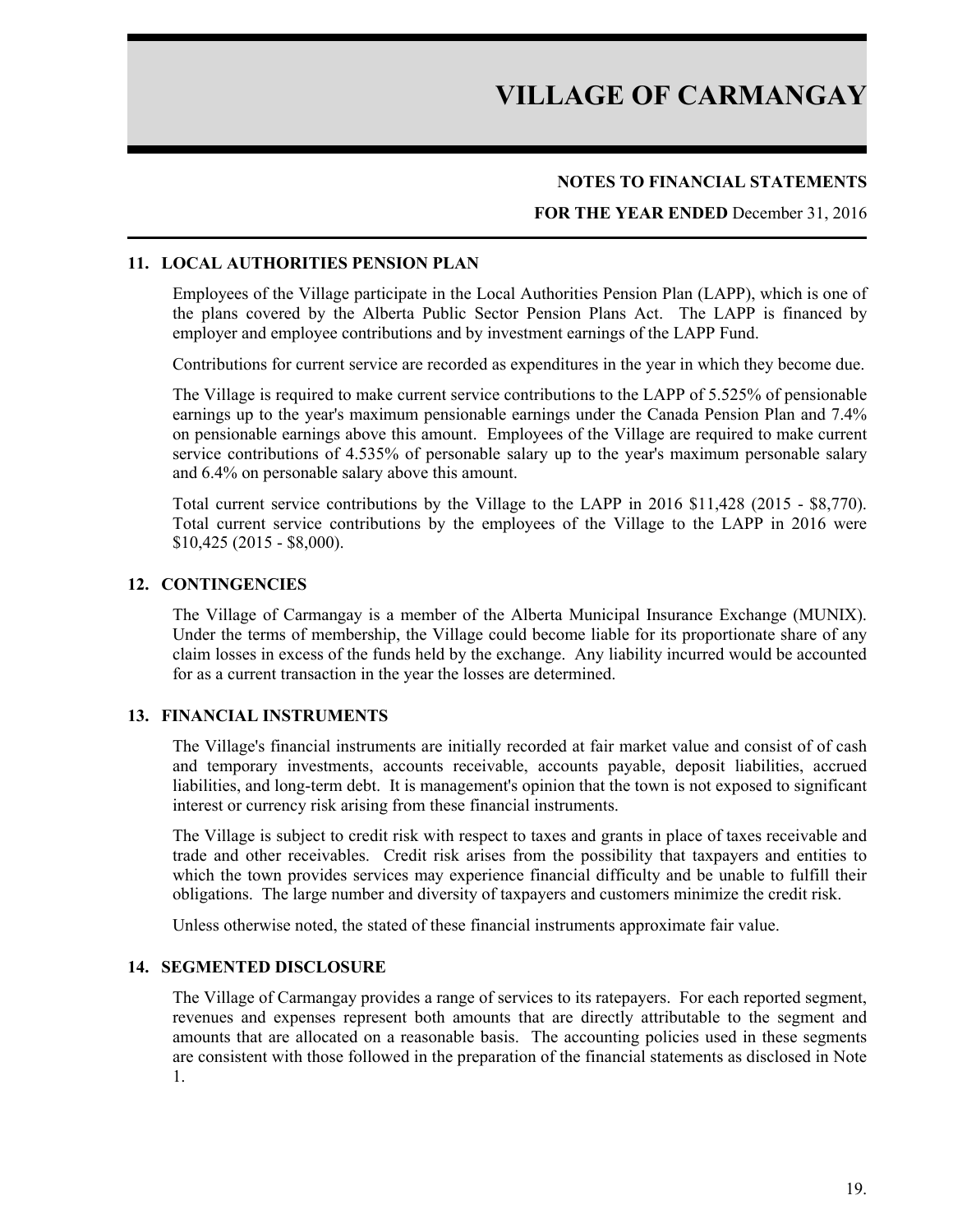#### **NOTES TO FINANCIAL STATEMENTS**

#### **FOR THE YEAR ENDED** December 31, 2016

#### **11. LOCAL AUTHORITIES PENSION PLAN**

Employees of the Village participate in the Local Authorities Pension Plan (LAPP), which is one of the plans covered by the Alberta Public Sector Pension Plans Act. The LAPP is financed by employer and employee contributions and by investment earnings of the LAPP Fund.

Contributions for current service are recorded as expenditures in the year in which they become due.

The Village is required to make current service contributions to the LAPP of 5.525% of pensionable earnings up to the year's maximum pensionable earnings under the Canada Pension Plan and 7.4% on pensionable earnings above this amount. Employees of the Village are required to make current service contributions of 4.535% of personable salary up to the year's maximum personable salary and 6.4% on personable salary above this amount.

Total current service contributions by the Village to the LAPP in 2016 \$11,428 (2015 - \$8,770). Total current service contributions by the employees of the Village to the LAPP in 2016 were \$10,425 (2015 - \$8,000).

#### **12. CONTINGENCIES**

The Village of Carmangay is a member of the Alberta Municipal Insurance Exchange (MUNIX). Under the terms of membership, the Village could become liable for its proportionate share of any claim losses in excess of the funds held by the exchange. Any liability incurred would be accounted for as a current transaction in the year the losses are determined.

#### **13. FINANCIAL INSTRUMENTS**

The Village's financial instruments are initially recorded at fair market value and consist of of cash and temporary investments, accounts receivable, accounts payable, deposit liabilities, accrued liabilities, and long-term debt. It is management's opinion that the town is not exposed to significant interest or currency risk arising from these financial instruments.

The Village is subject to credit risk with respect to taxes and grants in place of taxes receivable and trade and other receivables. Credit risk arises from the possibility that taxpayers and entities to which the town provides services may experience financial difficulty and be unable to fulfill their obligations. The large number and diversity of taxpayers and customers minimize the credit risk.

Unless otherwise noted, the stated of these financial instruments approximate fair value.

#### **14. SEGMENTED DISCLOSURE**

The Village of Carmangay provides a range of services to its ratepayers. For each reported segment, revenues and expenses represent both amounts that are directly attributable to the segment and amounts that are allocated on a reasonable basis. The accounting policies used in these segments are consistent with those followed in the preparation of the financial statements as disclosed in Note 1.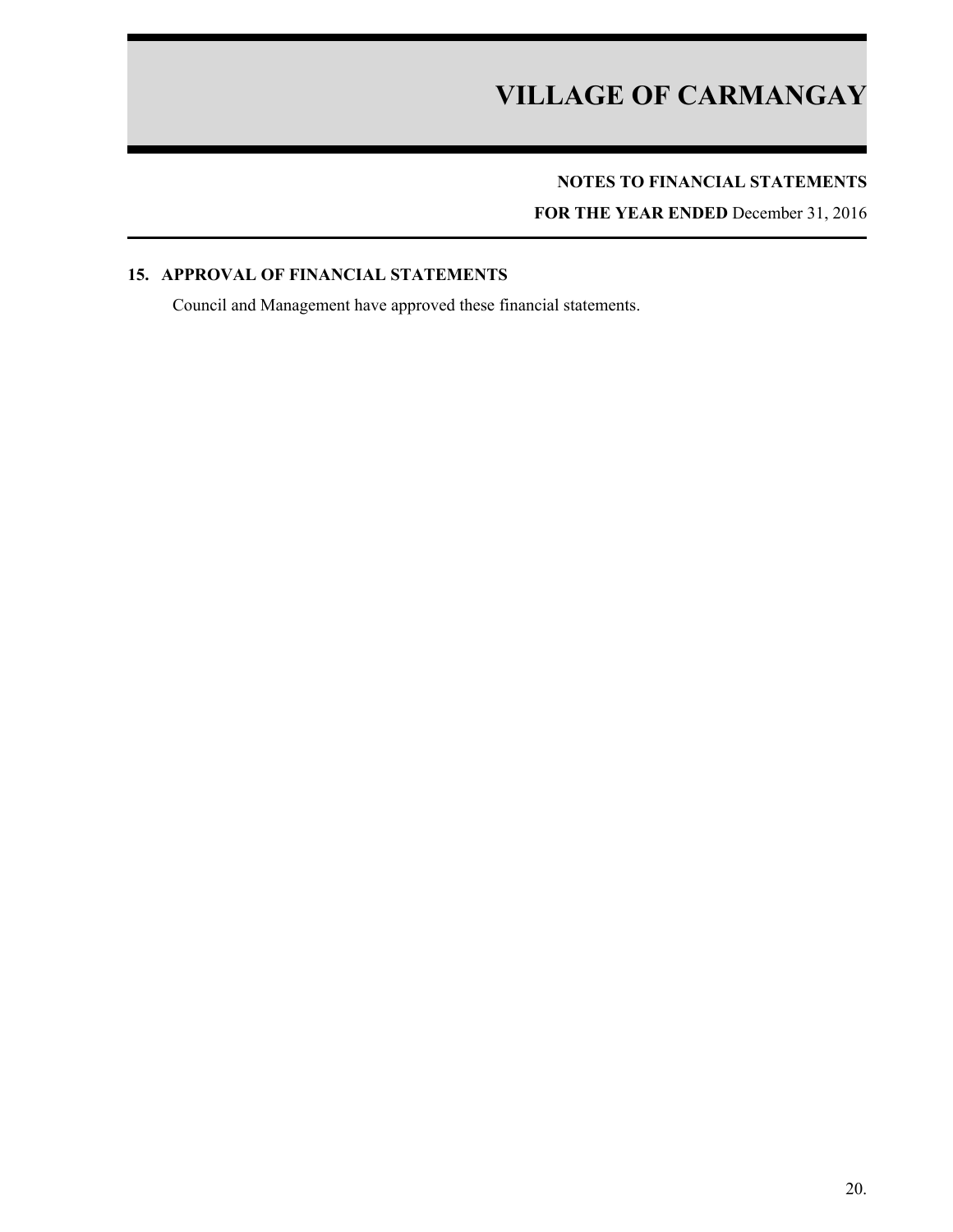## **NOTES TO FINANCIAL STATEMENTS**

**FOR THE YEAR ENDED** December 31, 2016

### **15. APPROVAL OF FINANCIAL STATEMENTS**

Council and Management have approved these financial statements.